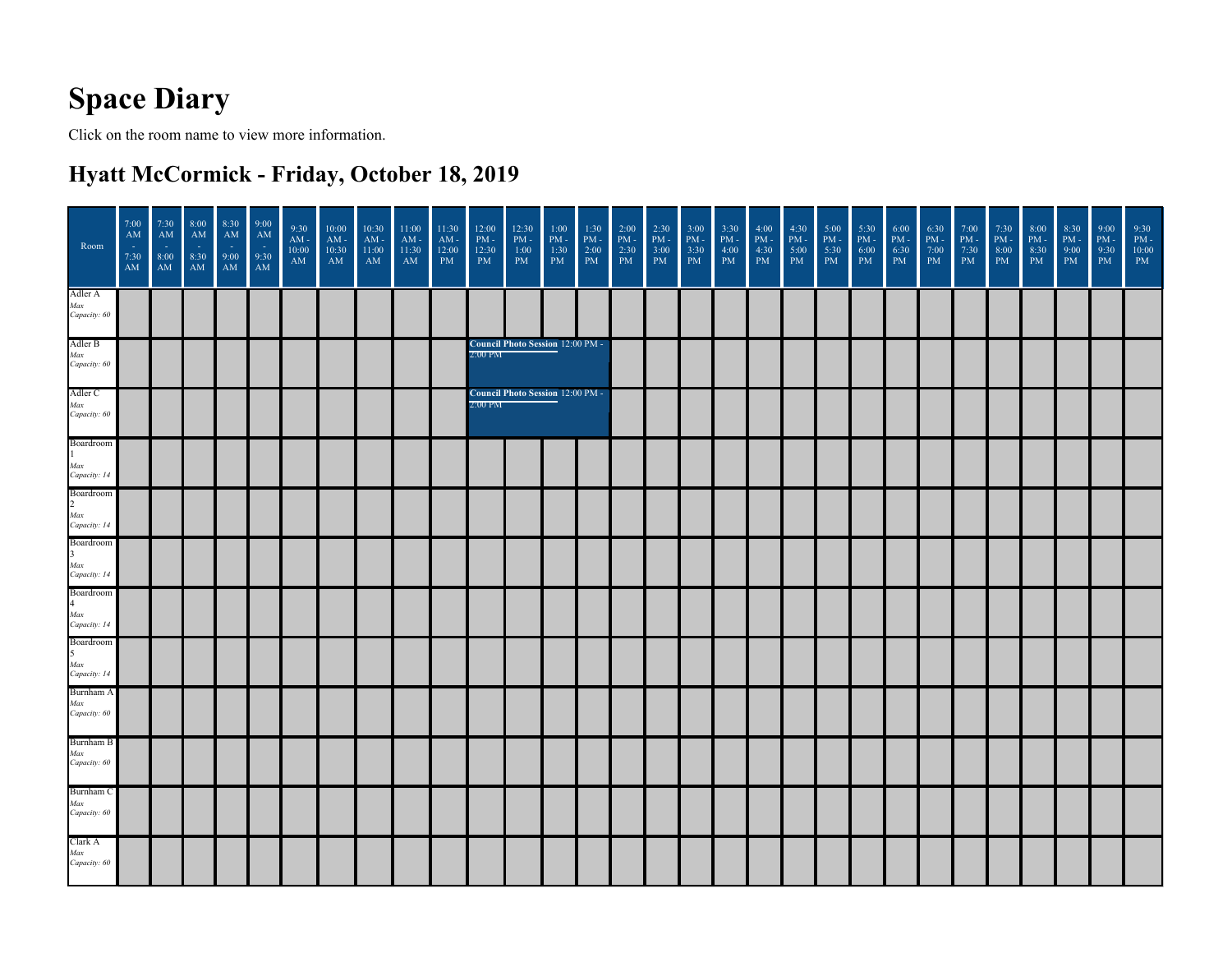## **Space Diary**

Click on the room name to view more information.

#### **Hyatt McCormick - Friday, October 18, 2019**

| Room                                                        | 7:00<br>AM<br>$\sim$<br>7:30<br>$\mathbf{A}\mathbf{M}$ | 7:30<br>$\mathbf{A}\mathbf{M}$<br>$\sim$<br>8:00<br>AM | 8:00<br>$\mathbf{A}\mathbf{M}$<br>$\sim$<br>8:30<br>$\mathbf{A}\mathbf{M}$ | 8:30<br>AM<br>$\sim$<br>9:00<br>AM | 9:00<br>AM<br>$\sim$<br>9:30<br>$\mathbf{A}\mathbf{M}$ | 9:30<br>AM -<br>10:00<br>$\mathbf{A}\mathbf{M}$ | 10:00<br>AM -<br>10:30<br>AM | 10:30<br>$AM -$<br>11:00<br>AM | 11:00<br>AM -<br>11:30<br>$\mathbf{A}\mathbf{M}$ | 11:30<br>$\mathrm{AM}$ -<br>12:00<br>PM | 12:00<br>$\mathrm{PM}$ -<br>12:30<br>PM | 12:30<br>$\mathrm{PM}$ -<br>1:00<br>$\mathbf{PM}$ | 1:00<br>$\mathrm{PM}$ -<br>1:30<br>PM | 1:30<br>$\mathrm{PM}$ -<br>2:00<br>PM | 2:00<br>$PM -$<br>2:30<br>PM | 2:30<br>$\mathrm{PM}$ -<br>3:00<br>PM | 3:00<br>$\mathrm{PM}$ -<br>3:30<br>$\mathbf{PM}$ | 3:30<br>$PM -$<br>4:00<br>$\mathbf{PM}$ | 4:00<br>$\mathrm{PM}$ -<br>4:30<br>PM | 4:30<br>$\mathrm{PM}$ -<br>5:00<br>$\mathbf{PM}$ | 5:00<br>$\mathrm{PM}$ -<br>5:30<br>$\mathbf{PM}$ | 5:30<br>$\mathrm{PM}$ -<br>6:00<br>PM | 6:00<br>$\mathrm{PM}$ -<br>6:30<br>PM | 6:30<br>$PM -$<br>7:00<br>$\mathbf{PM}$ | 7:00<br>$\,$ PM $\,$ -<br>7:30<br>$\mathbf{PM}$ | 7:30<br>$\mathrm{PM}$ -<br>8:00<br>PM | 8:00<br>$\mathrm{PM}$ -<br>8:30<br>PM | 8:30<br>$\mathrm{PM}$ -<br>9:00<br>PM | 9:00<br>$PM -$<br>9:30<br>PM | 9:30<br>$PM -$<br>10:00<br>PM |
|-------------------------------------------------------------|--------------------------------------------------------|--------------------------------------------------------|----------------------------------------------------------------------------|------------------------------------|--------------------------------------------------------|-------------------------------------------------|------------------------------|--------------------------------|--------------------------------------------------|-----------------------------------------|-----------------------------------------|---------------------------------------------------|---------------------------------------|---------------------------------------|------------------------------|---------------------------------------|--------------------------------------------------|-----------------------------------------|---------------------------------------|--------------------------------------------------|--------------------------------------------------|---------------------------------------|---------------------------------------|-----------------------------------------|-------------------------------------------------|---------------------------------------|---------------------------------------|---------------------------------------|------------------------------|-------------------------------|
| Adler A<br>Max<br>Capacity: 60                              |                                                        |                                                        |                                                                            |                                    |                                                        |                                                 |                              |                                |                                                  |                                         |                                         |                                                   |                                       |                                       |                              |                                       |                                                  |                                         |                                       |                                                  |                                                  |                                       |                                       |                                         |                                                 |                                       |                                       |                                       |                              |                               |
| Adler B<br>Max<br>Capacity: 60                              |                                                        |                                                        |                                                                            |                                    |                                                        |                                                 |                              |                                |                                                  |                                         | 2:00 PM                                 | Council Photo Session 12:00 PM -                  |                                       |                                       |                              |                                       |                                                  |                                         |                                       |                                                  |                                                  |                                       |                                       |                                         |                                                 |                                       |                                       |                                       |                              |                               |
| Adler C<br>Max<br>Capacity: 60                              |                                                        |                                                        |                                                                            |                                    |                                                        |                                                 |                              |                                |                                                  |                                         | 2:00 PM                                 | Council Photo Session 12:00 PM -                  |                                       |                                       |                              |                                       |                                                  |                                         |                                       |                                                  |                                                  |                                       |                                       |                                         |                                                 |                                       |                                       |                                       |                              |                               |
| Boardroom<br>Max<br>Capacity: 14                            |                                                        |                                                        |                                                                            |                                    |                                                        |                                                 |                              |                                |                                                  |                                         |                                         |                                                   |                                       |                                       |                              |                                       |                                                  |                                         |                                       |                                                  |                                                  |                                       |                                       |                                         |                                                 |                                       |                                       |                                       |                              |                               |
| Boardroom<br>$\mathcal{L}$<br>Max<br>Capacity: 14           |                                                        |                                                        |                                                                            |                                    |                                                        |                                                 |                              |                                |                                                  |                                         |                                         |                                                   |                                       |                                       |                              |                                       |                                                  |                                         |                                       |                                                  |                                                  |                                       |                                       |                                         |                                                 |                                       |                                       |                                       |                              |                               |
| Boardroom<br>$\overline{\mathbf{3}}$<br>Max<br>Capacity: 14 |                                                        |                                                        |                                                                            |                                    |                                                        |                                                 |                              |                                |                                                  |                                         |                                         |                                                   |                                       |                                       |                              |                                       |                                                  |                                         |                                       |                                                  |                                                  |                                       |                                       |                                         |                                                 |                                       |                                       |                                       |                              |                               |
| Boardroom<br>$\overline{4}$<br>Max<br>Capacity: 14          |                                                        |                                                        |                                                                            |                                    |                                                        |                                                 |                              |                                |                                                  |                                         |                                         |                                                   |                                       |                                       |                              |                                       |                                                  |                                         |                                       |                                                  |                                                  |                                       |                                       |                                         |                                                 |                                       |                                       |                                       |                              |                               |
| Boardroom<br>5<br>Max<br>Capacity: 14                       |                                                        |                                                        |                                                                            |                                    |                                                        |                                                 |                              |                                |                                                  |                                         |                                         |                                                   |                                       |                                       |                              |                                       |                                                  |                                         |                                       |                                                  |                                                  |                                       |                                       |                                         |                                                 |                                       |                                       |                                       |                              |                               |
| Burnham A<br>Max<br>Capacity: 60                            |                                                        |                                                        |                                                                            |                                    |                                                        |                                                 |                              |                                |                                                  |                                         |                                         |                                                   |                                       |                                       |                              |                                       |                                                  |                                         |                                       |                                                  |                                                  |                                       |                                       |                                         |                                                 |                                       |                                       |                                       |                              |                               |
| Burnham B<br>Max<br>Capacity: 60                            |                                                        |                                                        |                                                                            |                                    |                                                        |                                                 |                              |                                |                                                  |                                         |                                         |                                                   |                                       |                                       |                              |                                       |                                                  |                                         |                                       |                                                  |                                                  |                                       |                                       |                                         |                                                 |                                       |                                       |                                       |                              |                               |
| Burnham C<br>Max<br>Capacity: 60                            |                                                        |                                                        |                                                                            |                                    |                                                        |                                                 |                              |                                |                                                  |                                         |                                         |                                                   |                                       |                                       |                              |                                       |                                                  |                                         |                                       |                                                  |                                                  |                                       |                                       |                                         |                                                 |                                       |                                       |                                       |                              |                               |
| Clark A<br>Max<br>Capacity: 60                              |                                                        |                                                        |                                                                            |                                    |                                                        |                                                 |                              |                                |                                                  |                                         |                                         |                                                   |                                       |                                       |                              |                                       |                                                  |                                         |                                       |                                                  |                                                  |                                       |                                       |                                         |                                                 |                                       |                                       |                                       |                              |                               |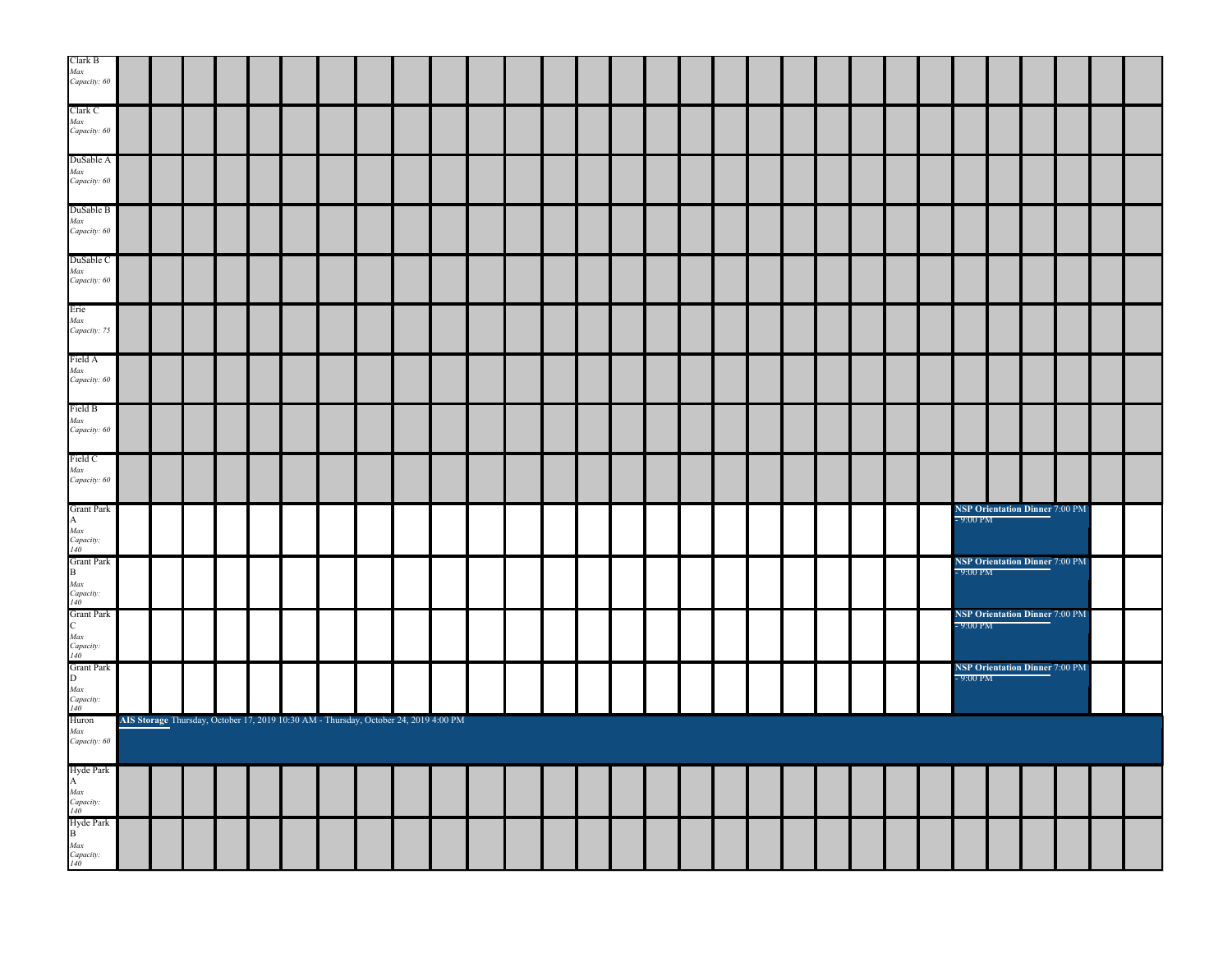| Clark B<br>Max<br>Capacity: 60                                                                                                                                                                                                                                                                                                                                                                                      |  |  |  |  |                                                                                      |  |  |  |  |  |  |  |            |                                                     |                                       |  |
|---------------------------------------------------------------------------------------------------------------------------------------------------------------------------------------------------------------------------------------------------------------------------------------------------------------------------------------------------------------------------------------------------------------------|--|--|--|--|--------------------------------------------------------------------------------------|--|--|--|--|--|--|--|------------|-----------------------------------------------------|---------------------------------------|--|
| Clark C<br>Max<br>Capacity: 60                                                                                                                                                                                                                                                                                                                                                                                      |  |  |  |  |                                                                                      |  |  |  |  |  |  |  |            |                                                     |                                       |  |
| DuSable A<br>Max<br>Capacity: 60                                                                                                                                                                                                                                                                                                                                                                                    |  |  |  |  |                                                                                      |  |  |  |  |  |  |  |            |                                                     |                                       |  |
| $\mathop{\rm Du}\nolimits\mathop{\rm Sable}\nolimits{\bf B}$<br>Max<br>Capacity: $60\,$                                                                                                                                                                                                                                                                                                                             |  |  |  |  |                                                                                      |  |  |  |  |  |  |  |            |                                                     |                                       |  |
| DuSable C<br>Max<br>Capacity: 60                                                                                                                                                                                                                                                                                                                                                                                    |  |  |  |  |                                                                                      |  |  |  |  |  |  |  |            |                                                     |                                       |  |
| Erie<br>Max<br>Capacity: 75                                                                                                                                                                                                                                                                                                                                                                                         |  |  |  |  |                                                                                      |  |  |  |  |  |  |  |            |                                                     |                                       |  |
| Field A<br>Max<br>Capacity: 60                                                                                                                                                                                                                                                                                                                                                                                      |  |  |  |  |                                                                                      |  |  |  |  |  |  |  |            |                                                     |                                       |  |
| Field B<br>Max<br>Capacity: 60                                                                                                                                                                                                                                                                                                                                                                                      |  |  |  |  |                                                                                      |  |  |  |  |  |  |  |            |                                                     |                                       |  |
| Field C<br>Max<br>Capacity: 60                                                                                                                                                                                                                                                                                                                                                                                      |  |  |  |  |                                                                                      |  |  |  |  |  |  |  |            |                                                     |                                       |  |
| <b>Grant Park</b><br>$\mathbf{A}$                                                                                                                                                                                                                                                                                                                                                                                   |  |  |  |  |                                                                                      |  |  |  |  |  |  |  |            | <b>NSP Orientation Dinner 7:00 PM</b><br>$-9:00$ PM |                                       |  |
|                                                                                                                                                                                                                                                                                                                                                                                                                     |  |  |  |  |                                                                                      |  |  |  |  |  |  |  | $-9:00$ PM | <b>NSP Orientation Dinner 7:00 PM</b>               |                                       |  |
|                                                                                                                                                                                                                                                                                                                                                                                                                     |  |  |  |  |                                                                                      |  |  |  |  |  |  |  | $-9:00$ PM |                                                     | <b>NSP Orientation Dinner 7:00 PM</b> |  |
| Max $\begin{array}{l} \vspace{2mm} \textit{Max} \\ \textit{Capacity:} \\ \textit{140} \\ \textit{140} \\ \textit{140} \\ \textit{140} \\ \textit{140} \\ \textit{140} \\ \textit{140} \\ \textit{140} \\ \textit{140} \\ \textit{141} \\ \textit{142} \\ \textit{144} \\ \textit{149} \\ \textit{140} \\ \textit{141} \\ \textit{142} \\ \textit{144} \\ \textit{141} \\ \textit{140} \\ \textit{141} \\ \textit{1$ |  |  |  |  |                                                                                      |  |  |  |  |  |  |  | $-9:00$ PM | <b>NSP Orientation Dinner 7:00 PM</b>               |                                       |  |
| Max<br>Capacity: 60                                                                                                                                                                                                                                                                                                                                                                                                 |  |  |  |  | AIS Storage Thursday, October 17, 2019 10:30 AM - Thursday, October 24, 2019 4:00 PM |  |  |  |  |  |  |  |            |                                                     |                                       |  |
| Hyde Park<br>$\mathbf{A}$                                                                                                                                                                                                                                                                                                                                                                                           |  |  |  |  |                                                                                      |  |  |  |  |  |  |  |            |                                                     |                                       |  |
| A<br><i>Max</i><br><i>Capacity:</i><br>140<br>Hyde Park<br>B<br><i>Max</i><br><i>Capacity:</i><br>140                                                                                                                                                                                                                                                                                                               |  |  |  |  |                                                                                      |  |  |  |  |  |  |  |            |                                                     |                                       |  |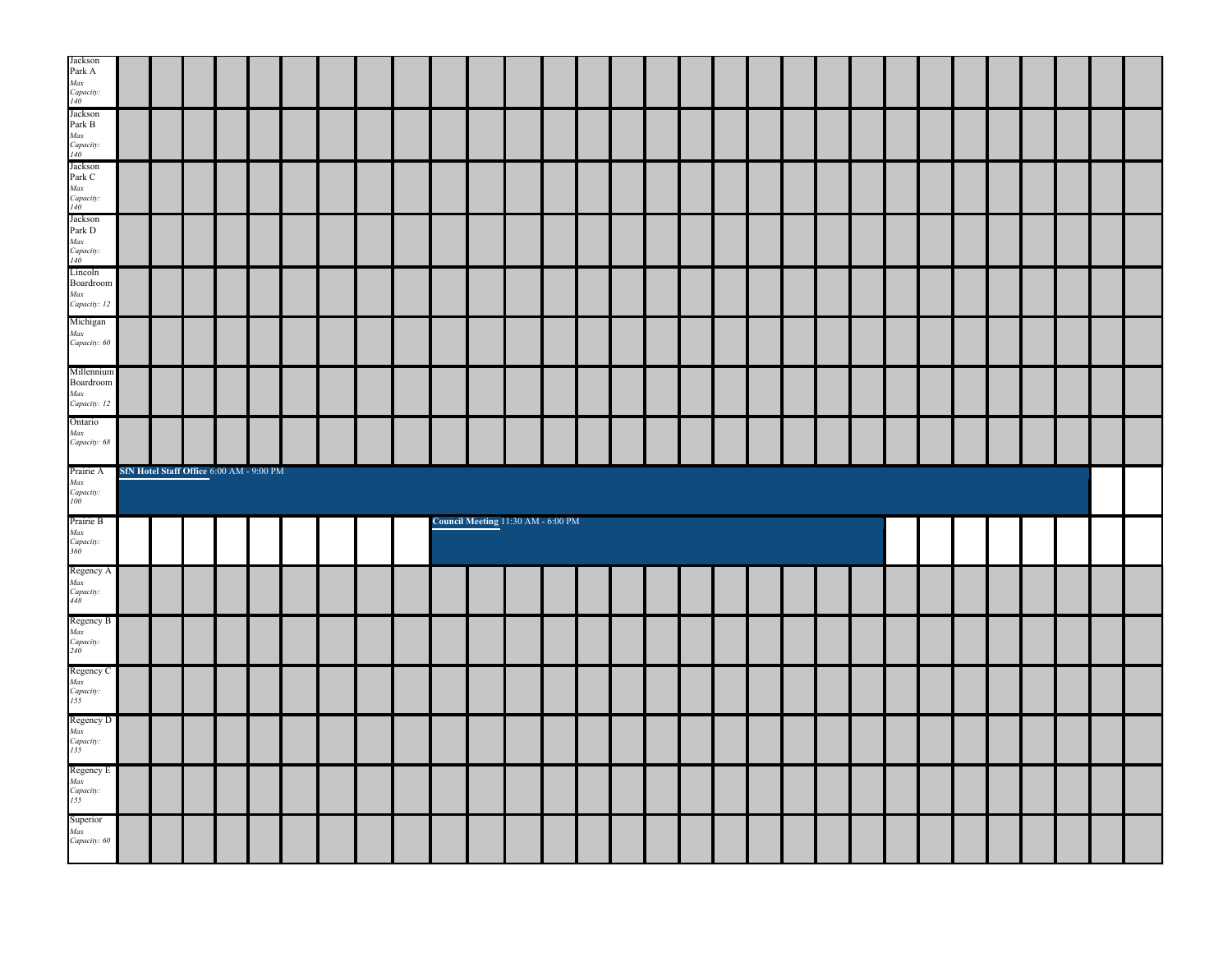| Jackson<br>Park A                                                                                                                                                                                                                                                                                          |                                          |  |  |  |  |                                    |  |  |  |  |  |  |  |  |  |  |
|------------------------------------------------------------------------------------------------------------------------------------------------------------------------------------------------------------------------------------------------------------------------------------------------------------|------------------------------------------|--|--|--|--|------------------------------------|--|--|--|--|--|--|--|--|--|--|
|                                                                                                                                                                                                                                                                                                            |                                          |  |  |  |  |                                    |  |  |  |  |  |  |  |  |  |  |
| $\begin{array}{l} \textit{Max} \\ \textit{Capacity:} \\ \textit{140} \\ \textit{Backson} \\ \textit{Park B} \\ \textit{Max} \\ \textit{Capacity:} \\ \textit{140} \\ \textit{Jackson} \\ \textit{Mark C} \\ \textit{C} \\ \textit{140} \\ \textit{140} \\ \textit{Jackson} \\ \textit{Park D} \end{array}$ |                                          |  |  |  |  |                                    |  |  |  |  |  |  |  |  |  |  |
| Fark <i>D</i><br>Max<br>Capacity:<br>140<br>Lincoln                                                                                                                                                                                                                                                        |                                          |  |  |  |  |                                    |  |  |  |  |  |  |  |  |  |  |
| Boardroom<br>Max<br>Capacity: 12                                                                                                                                                                                                                                                                           |                                          |  |  |  |  |                                    |  |  |  |  |  |  |  |  |  |  |
| Michigan<br>Max<br>Capacity: 60                                                                                                                                                                                                                                                                            |                                          |  |  |  |  |                                    |  |  |  |  |  |  |  |  |  |  |
| Millennium<br>Boardroom<br>Max<br>Capacity: 12<br>Ontario                                                                                                                                                                                                                                                  |                                          |  |  |  |  |                                    |  |  |  |  |  |  |  |  |  |  |
| Max<br>Capacity: 68                                                                                                                                                                                                                                                                                        |                                          |  |  |  |  |                                    |  |  |  |  |  |  |  |  |  |  |
|                                                                                                                                                                                                                                                                                                            |                                          |  |  |  |  |                                    |  |  |  |  |  |  |  |  |  |  |
| Prairie A<br>Max<br>Capacity:<br>100                                                                                                                                                                                                                                                                       | SfN Hotel Staff Office 6:00 AM - 9:00 PM |  |  |  |  |                                    |  |  |  |  |  |  |  |  |  |  |
| Prairie B<br>Max<br>Capacity:<br>360                                                                                                                                                                                                                                                                       |                                          |  |  |  |  | Council Meeting 11:30 AM - 6:00 PM |  |  |  |  |  |  |  |  |  |  |
| Regency A<br><i>Max</i><br><i>Capacity:</i><br>448                                                                                                                                                                                                                                                         |                                          |  |  |  |  |                                    |  |  |  |  |  |  |  |  |  |  |
| Regency B<br>Max<br>Capacity:<br>240                                                                                                                                                                                                                                                                       |                                          |  |  |  |  |                                    |  |  |  |  |  |  |  |  |  |  |
| Regency C<br>Max<br>Capacity:<br>155                                                                                                                                                                                                                                                                       |                                          |  |  |  |  |                                    |  |  |  |  |  |  |  |  |  |  |
| Regency D<br><i>Max</i><br><i>Capacity:</i><br>135                                                                                                                                                                                                                                                         |                                          |  |  |  |  |                                    |  |  |  |  |  |  |  |  |  |  |
| Regency E<br><i>Max</i><br><i>Capacity:</i><br>155<br>Superior<br>Max<br>Capacity: 60                                                                                                                                                                                                                      |                                          |  |  |  |  |                                    |  |  |  |  |  |  |  |  |  |  |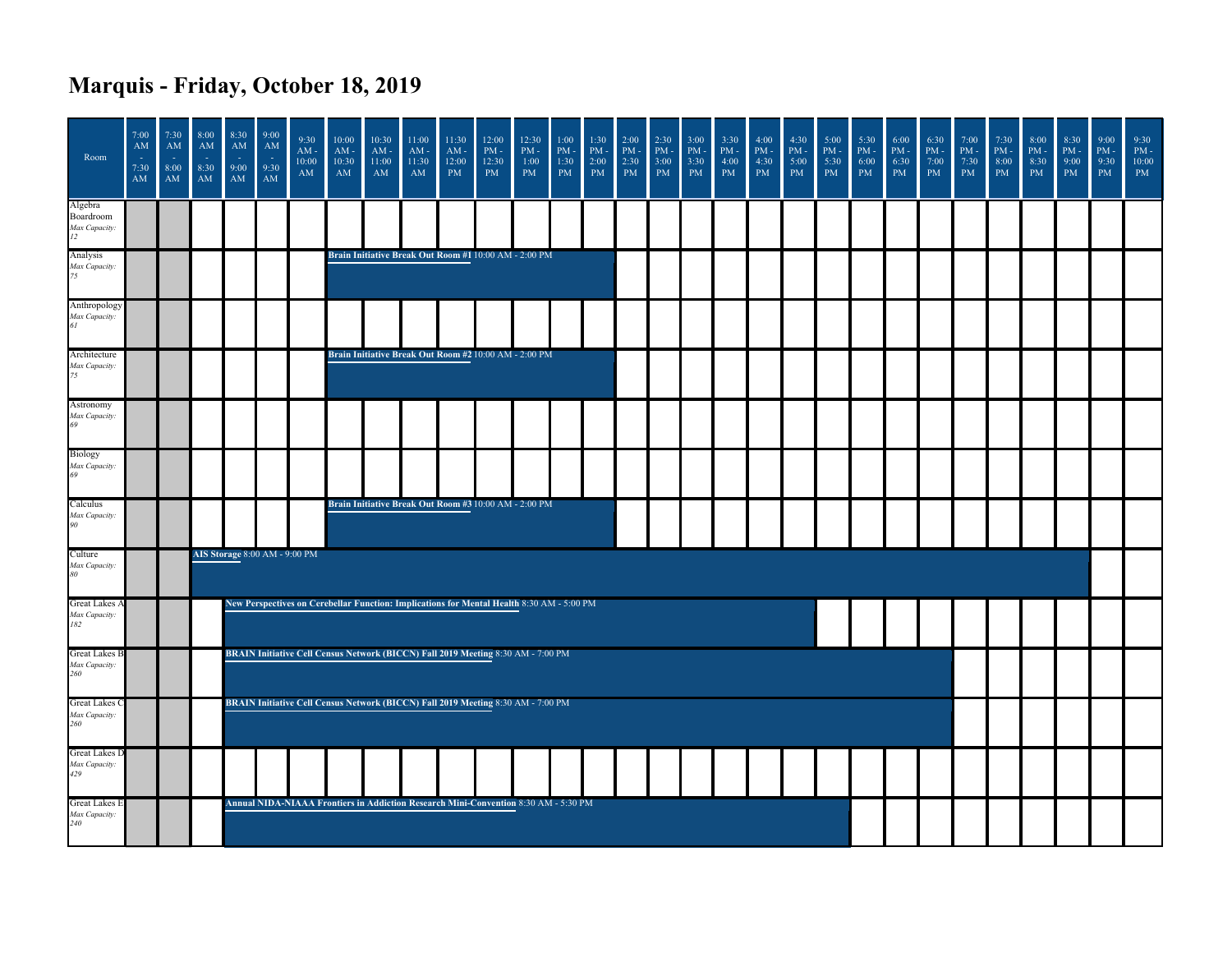#### **Marquis - Friday, October 18, 2019**

| Room                                        | 7:00<br>$\mathbf{A}\mathbf{M}$<br>7:30<br>AM | 7:30<br>AM<br>÷.<br>8:00<br>AM | 8:00<br>$\mathbf{A}\mathbf{M}$<br>۰.<br>8:30<br>AM | 8:30<br>$\mathbf{A}\mathbf{M}$<br>٠.<br>9:00<br>AM | 9:00<br>$\mathbf{A}\mathbf{M}$<br>п.<br>9:30<br>AM | 9:30<br>$AM -$<br>10:00<br>$\mathbf{A}\mathbf{M}$ | 10:00<br>$\mathbf{A}\mathbf{M}$ -<br>10:30<br>$\mathbf{A}\mathbf{M}$                      | 10:30<br>$\mathbf{AM}$ -<br>11:00<br>AM | 11:00<br>$\mathrm{AM}$ -<br>11:30<br>AM | 11:30<br>$\mathbf{A}\mathbf{M}$ -<br>12:00<br>PM | 12:00<br>$\mathrm{PM}$ -<br>12:30<br>PM               | 12:30<br>$\mathrm{PM}$ -<br>1:00<br>PM | 1:00<br>$\mathrm{PM}$ -<br>1:30<br>PM | 1:30<br>PM-<br>2:00<br>PM | 2:00<br>$\mathrm{PM}$ -<br>2:30<br>PM | 2:30<br>$PM -$<br>3:00<br>PM | 3:00<br>$\mathrm{PM}$ -<br>3:30<br>PM | 3:30<br>$PM -$<br>4:00<br>PM | 4:00<br>$\mathrm{PM}$ -<br>4:30<br>PM | 4:30<br>$\mathrm{PM}$ -<br>5:00<br>PM | 5:00<br>$PM -$<br>5:30<br>PM | 5:30<br>$\mathrm{PM}$ -<br>6:00<br>PM | 6:00<br>$\mathrm{PM}$ -<br>6:30<br>PM | 6:30<br>$PM -$<br>7:00<br>PM | 7:00<br>$\mathrm{PM}$ -<br>7:30<br>PM | 7:30<br>$\mathrm{PM}$ -<br>8:00<br>PM | 8:00<br>$PM -$<br>8:30<br>PM | 8:30<br>$\mathrm{PM}$ -<br>9:00<br>PM | 9:00<br>$PM -$<br>9:30<br>PM | 9:30<br>$PM -$<br>10:00<br>PM |
|---------------------------------------------|----------------------------------------------|--------------------------------|----------------------------------------------------|----------------------------------------------------|----------------------------------------------------|---------------------------------------------------|-------------------------------------------------------------------------------------------|-----------------------------------------|-----------------------------------------|--------------------------------------------------|-------------------------------------------------------|----------------------------------------|---------------------------------------|---------------------------|---------------------------------------|------------------------------|---------------------------------------|------------------------------|---------------------------------------|---------------------------------------|------------------------------|---------------------------------------|---------------------------------------|------------------------------|---------------------------------------|---------------------------------------|------------------------------|---------------------------------------|------------------------------|-------------------------------|
| Algebra<br>Boardroom<br>Max Capacity:<br>12 |                                              |                                |                                                    |                                                    |                                                    |                                                   |                                                                                           |                                         |                                         |                                                  |                                                       |                                        |                                       |                           |                                       |                              |                                       |                              |                                       |                                       |                              |                                       |                                       |                              |                                       |                                       |                              |                                       |                              |                               |
| Analysis<br>Max Capacity:<br>75             |                                              |                                |                                                    |                                                    |                                                    |                                                   |                                                                                           |                                         |                                         |                                                  | Brain Initiative Break Out Room #1 10:00 AM - 2:00 PM |                                        |                                       |                           |                                       |                              |                                       |                              |                                       |                                       |                              |                                       |                                       |                              |                                       |                                       |                              |                                       |                              |                               |
| Anthropology<br>Max Capacity:<br>61         |                                              |                                |                                                    |                                                    |                                                    |                                                   |                                                                                           |                                         |                                         |                                                  |                                                       |                                        |                                       |                           |                                       |                              |                                       |                              |                                       |                                       |                              |                                       |                                       |                              |                                       |                                       |                              |                                       |                              |                               |
| Architecture<br>Max Capacity:<br>75         |                                              |                                |                                                    |                                                    |                                                    |                                                   |                                                                                           |                                         |                                         |                                                  | Brain Initiative Break Out Room #2 10:00 AM - 2:00 PM |                                        |                                       |                           |                                       |                              |                                       |                              |                                       |                                       |                              |                                       |                                       |                              |                                       |                                       |                              |                                       |                              |                               |
| Astronomy<br>Max Capacity:<br>69            |                                              |                                |                                                    |                                                    |                                                    |                                                   |                                                                                           |                                         |                                         |                                                  |                                                       |                                        |                                       |                           |                                       |                              |                                       |                              |                                       |                                       |                              |                                       |                                       |                              |                                       |                                       |                              |                                       |                              |                               |
| Biology<br>Max Capacity<br>69               |                                              |                                |                                                    |                                                    |                                                    |                                                   |                                                                                           |                                         |                                         |                                                  |                                                       |                                        |                                       |                           |                                       |                              |                                       |                              |                                       |                                       |                              |                                       |                                       |                              |                                       |                                       |                              |                                       |                              |                               |
| Calculus<br>Max Capacity:<br>90             |                                              |                                |                                                    |                                                    |                                                    |                                                   |                                                                                           |                                         |                                         |                                                  | Brain Initiative Break Out Room #3 10:00 AM - 2:00 PM |                                        |                                       |                           |                                       |                              |                                       |                              |                                       |                                       |                              |                                       |                                       |                              |                                       |                                       |                              |                                       |                              |                               |
| Culture<br>Max Capacity:<br>80              |                                              |                                |                                                    |                                                    | AIS Storage 8:00 AM - 9:00 PM                      |                                                   |                                                                                           |                                         |                                         |                                                  |                                                       |                                        |                                       |                           |                                       |                              |                                       |                              |                                       |                                       |                              |                                       |                                       |                              |                                       |                                       |                              |                                       |                              |                               |
| Great Lakes<br>Max Capacity:<br>182         |                                              |                                |                                                    |                                                    |                                                    |                                                   | New Perspectives on Cerebellar Function: Implications for Mental Health 8:30 AM - 5:00 PM |                                         |                                         |                                                  |                                                       |                                        |                                       |                           |                                       |                              |                                       |                              |                                       |                                       |                              |                                       |                                       |                              |                                       |                                       |                              |                                       |                              |                               |
| Great Lakes E<br>Max Capacity:<br>260       |                                              |                                |                                                    |                                                    |                                                    |                                                   | BRAIN Initiative Cell Census Network (BICCN) Fall 2019 Meeting 8:30 AM - 7:00 PM          |                                         |                                         |                                                  |                                                       |                                        |                                       |                           |                                       |                              |                                       |                              |                                       |                                       |                              |                                       |                                       |                              |                                       |                                       |                              |                                       |                              |                               |
| <b>Great Lakes</b><br>Max Capacity:<br>260  |                                              |                                |                                                    |                                                    |                                                    |                                                   | BRAIN Initiative Cell Census Network (BICCN) Fall 2019 Meeting 8:30 AM - 7:00 PM          |                                         |                                         |                                                  |                                                       |                                        |                                       |                           |                                       |                              |                                       |                              |                                       |                                       |                              |                                       |                                       |                              |                                       |                                       |                              |                                       |                              |                               |
| Great Lakes I<br>Max Capacity:<br>429       |                                              |                                |                                                    |                                                    |                                                    |                                                   |                                                                                           |                                         |                                         |                                                  |                                                       |                                        |                                       |                           |                                       |                              |                                       |                              |                                       |                                       |                              |                                       |                                       |                              |                                       |                                       |                              |                                       |                              |                               |
| Great Lakes 1<br>Max Capacity:<br>240       |                                              |                                |                                                    |                                                    |                                                    |                                                   | Annual NIDA-NIAAA Frontiers in Addiction Research Mini-Convention 8:30 AM - 5:30 PM       |                                         |                                         |                                                  |                                                       |                                        |                                       |                           |                                       |                              |                                       |                              |                                       |                                       |                              |                                       |                                       |                              |                                       |                                       |                              |                                       |                              |                               |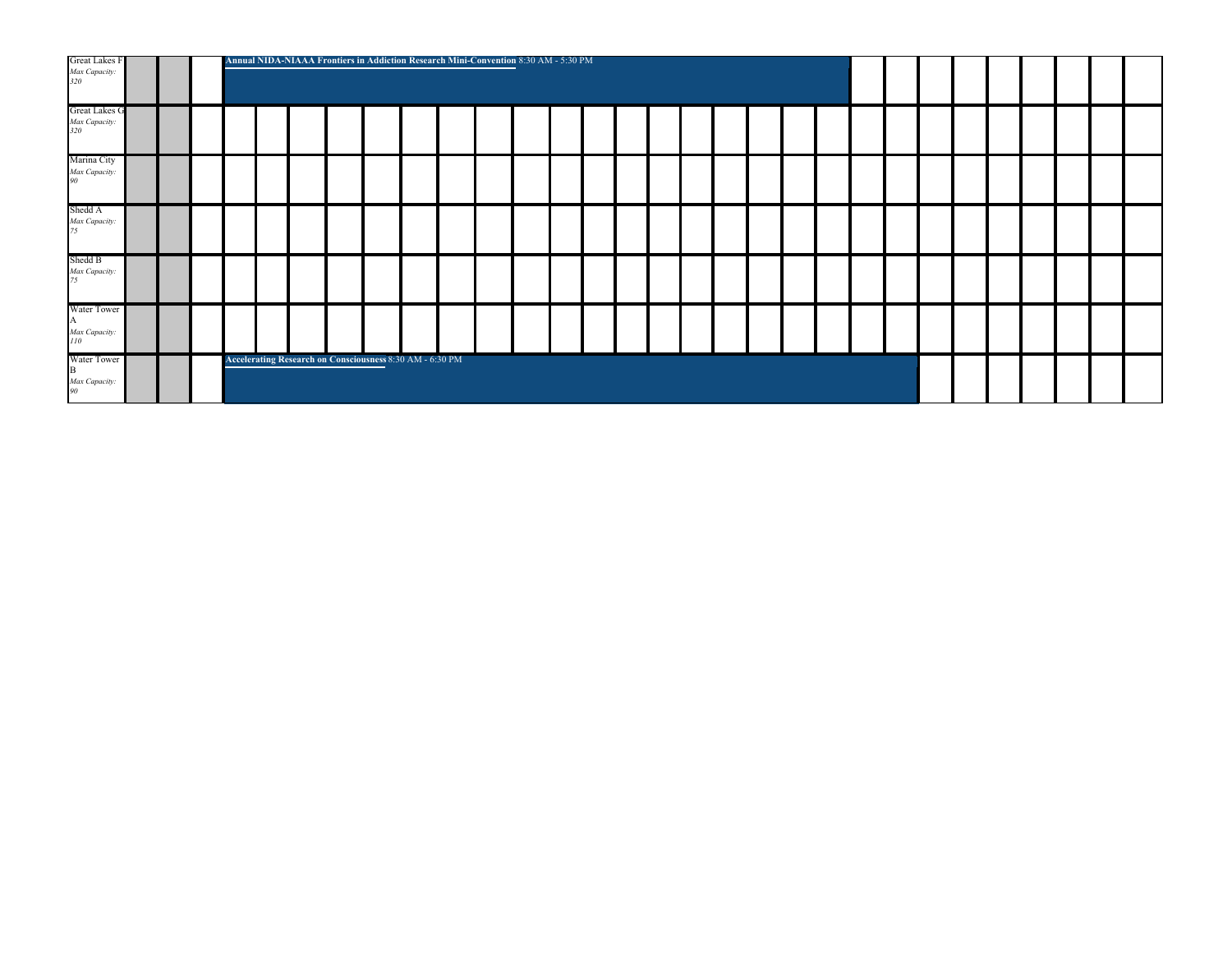| <b>Great Lakes F</b>                         | Annual NIDA-NIAAA Frontiers in Addiction Research Mini-Convention 8:30 AM - 5:30 PM |  |  |  |  |  |  |  |                                                          |  |  |  |  |  |  |  |  |  |  |  |  |  |
|----------------------------------------------|-------------------------------------------------------------------------------------|--|--|--|--|--|--|--|----------------------------------------------------------|--|--|--|--|--|--|--|--|--|--|--|--|--|
| Max Capacity:<br>320                         |                                                                                     |  |  |  |  |  |  |  |                                                          |  |  |  |  |  |  |  |  |  |  |  |  |  |
| <b>Great Lakes G</b><br>Max Capacity:<br>320 |                                                                                     |  |  |  |  |  |  |  |                                                          |  |  |  |  |  |  |  |  |  |  |  |  |  |
| Marina City<br>Max Capacity:<br>90           |                                                                                     |  |  |  |  |  |  |  |                                                          |  |  |  |  |  |  |  |  |  |  |  |  |  |
| Shedd A<br>Max Capacity:<br>75               |                                                                                     |  |  |  |  |  |  |  |                                                          |  |  |  |  |  |  |  |  |  |  |  |  |  |
| Shedd B<br>Max Capacity:<br>75               |                                                                                     |  |  |  |  |  |  |  |                                                          |  |  |  |  |  |  |  |  |  |  |  |  |  |
| Water Tower<br>Max Capacity:<br>110          |                                                                                     |  |  |  |  |  |  |  |                                                          |  |  |  |  |  |  |  |  |  |  |  |  |  |
| Water Tower<br>Max Capacity:<br>90           |                                                                                     |  |  |  |  |  |  |  | Accelerating Research on Consciousness 8:30 AM - 6:30 PM |  |  |  |  |  |  |  |  |  |  |  |  |  |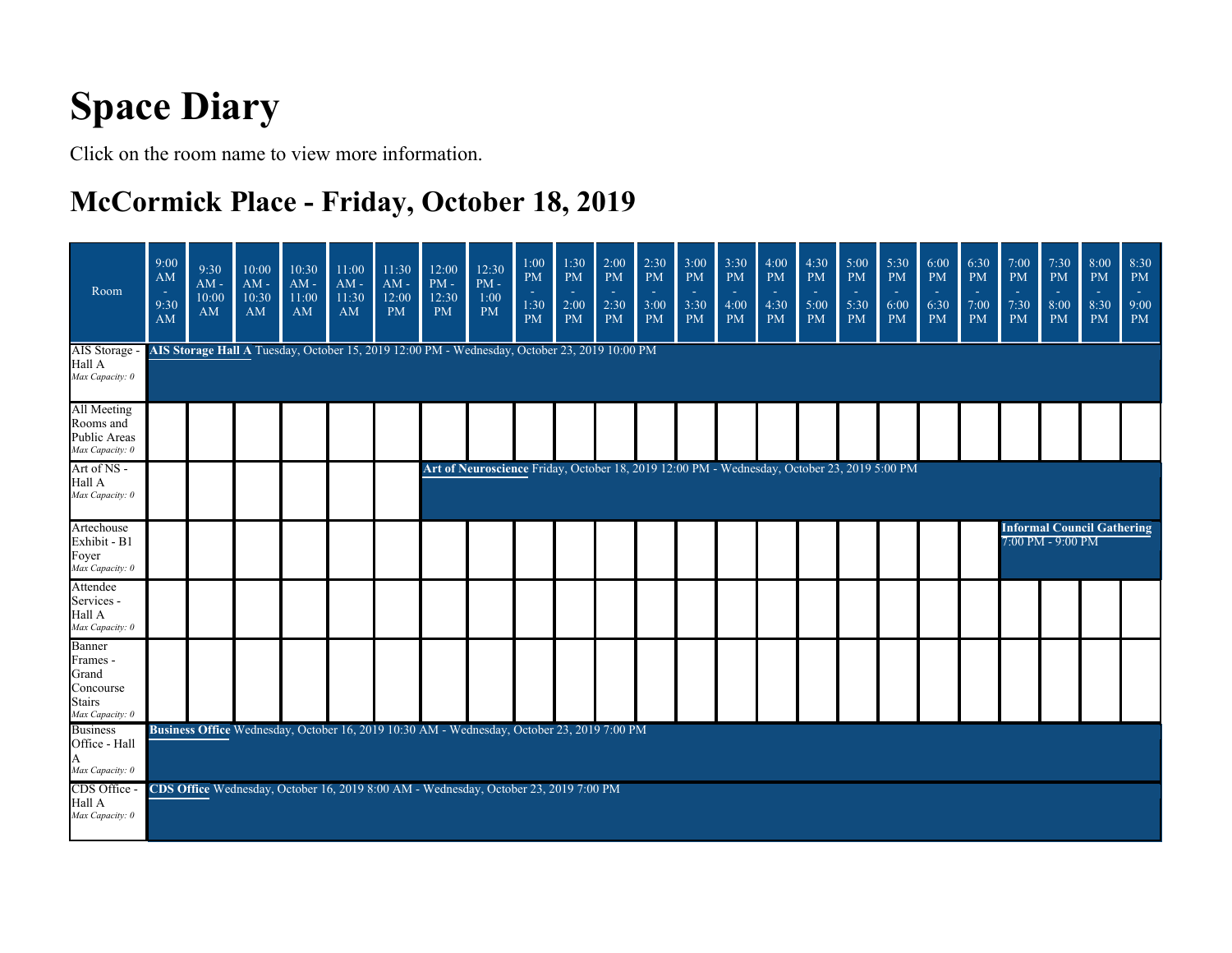# **Space Diary**

Click on the room name to view more information.

### **McCormick Place - Friday, October 18, 2019**

| Room                                                                         | 9:00<br>AM<br>÷,<br>9:30<br>AM | 9:30<br>$AM -$<br>10:00<br>AM | 10:00<br>$AM -$<br>10:30<br><b>AM</b> | 10:30<br>$AM -$<br>11:00<br>AM | 11:00<br>$AM -$<br>11:30<br>AM                                                               | 11:30<br>$AM -$<br>12:00<br><b>PM</b> | 12:00<br>$\mathrm{PM}$ -<br>12:30<br><b>PM</b> | 12:30<br>$\mathrm{PM}$ -<br>1:00<br><b>PM</b>                                               | 1:00<br><b>PM</b><br>1:30<br><b>PM</b> | 1:30<br><b>PM</b><br>$\sim$<br>2:00<br><b>PM</b> | 2:00<br><b>PM</b><br>$\sim$<br>2:30<br><b>PM</b> | 2:30<br><b>PM</b><br>$\sim$<br>3:00<br><b>PM</b> | 3:00<br><b>PM</b><br>$\sim$<br>3:30<br><b>PM</b> | 3:30<br><b>PM</b><br>$\sim$<br>4:00<br><b>PM</b> | 4:00<br><b>PM</b><br>$\sim$<br>4:30<br><b>PM</b> | 4:30<br><b>PM</b><br>$\sim$<br>5:00<br><b>PM</b> | 5:00<br><b>PM</b><br>$\sim$<br>5:30<br><b>PM</b> | 5:30<br><b>PM</b><br>$\sim$<br>6:00<br><b>PM</b> | 6:00<br><b>PM</b><br>$\sim$<br>6:30<br><b>PM</b> | 6:30<br><b>PM</b><br>$\sim$<br>7:00<br><b>PM</b> | 7:00<br>PM<br>٠<br>7:30<br><b>PM</b> | 7:30<br><b>PM</b><br>÷,<br>8:00<br><b>PM</b> | 8:00<br><b>PM</b><br>×.<br>8:30<br>PM | 8:30<br>PM<br>$\sim$<br>9:00<br><b>PM</b> |
|------------------------------------------------------------------------------|--------------------------------|-------------------------------|---------------------------------------|--------------------------------|----------------------------------------------------------------------------------------------|---------------------------------------|------------------------------------------------|---------------------------------------------------------------------------------------------|----------------------------------------|--------------------------------------------------|--------------------------------------------------|--------------------------------------------------|--------------------------------------------------|--------------------------------------------------|--------------------------------------------------|--------------------------------------------------|--------------------------------------------------|--------------------------------------------------|--------------------------------------------------|--------------------------------------------------|--------------------------------------|----------------------------------------------|---------------------------------------|-------------------------------------------|
| AIS Storage -<br>Hall A<br>Max Capacity: 0                                   |                                |                               |                                       |                                | AIS Storage Hall A Tuesday, October 15, 2019 12:00 PM - Wednesday, October 23, 2019 10:00 PM |                                       |                                                |                                                                                             |                                        |                                                  |                                                  |                                                  |                                                  |                                                  |                                                  |                                                  |                                                  |                                                  |                                                  |                                                  |                                      |                                              |                                       |                                           |
| All Meeting<br>Rooms and<br>Public Areas<br>Max Capacity: 0                  |                                |                               |                                       |                                |                                                                                              |                                       |                                                |                                                                                             |                                        |                                                  |                                                  |                                                  |                                                  |                                                  |                                                  |                                                  |                                                  |                                                  |                                                  |                                                  |                                      |                                              |                                       |                                           |
| Art of NS -<br>Hall A<br>Max Capacity: 0                                     |                                |                               |                                       |                                |                                                                                              |                                       |                                                | Art of Neuroscience Friday, October 18, 2019 12:00 PM - Wednesday, October 23, 2019 5:00 PM |                                        |                                                  |                                                  |                                                  |                                                  |                                                  |                                                  |                                                  |                                                  |                                                  |                                                  |                                                  |                                      |                                              |                                       |                                           |
| Artechouse<br>Exhibit - B1<br>Foyer<br>Max Capacity: 0                       |                                |                               |                                       |                                |                                                                                              |                                       |                                                |                                                                                             |                                        |                                                  |                                                  |                                                  |                                                  |                                                  |                                                  |                                                  |                                                  |                                                  |                                                  |                                                  |                                      | 7:00 PM - 9:00 PM                            | <b>Informal Council Gathering</b>     |                                           |
| Attendee<br>Services -<br>Hall A<br>Max Capacity: 0                          |                                |                               |                                       |                                |                                                                                              |                                       |                                                |                                                                                             |                                        |                                                  |                                                  |                                                  |                                                  |                                                  |                                                  |                                                  |                                                  |                                                  |                                                  |                                                  |                                      |                                              |                                       |                                           |
| Banner<br>Frames -<br>Grand<br>Concourse<br><b>Stairs</b><br>Max Capacity: 0 |                                |                               |                                       |                                |                                                                                              |                                       |                                                |                                                                                             |                                        |                                                  |                                                  |                                                  |                                                  |                                                  |                                                  |                                                  |                                                  |                                                  |                                                  |                                                  |                                      |                                              |                                       |                                           |
| <b>Business</b><br>Office - Hall<br>Max Capacity: 0                          |                                |                               |                                       |                                | Business Office Wednesday, October 16, 2019 10:30 AM - Wednesday, October 23, 2019 7:00 PM   |                                       |                                                |                                                                                             |                                        |                                                  |                                                  |                                                  |                                                  |                                                  |                                                  |                                                  |                                                  |                                                  |                                                  |                                                  |                                      |                                              |                                       |                                           |
| CDS Office -<br>Hall A<br>Max Capacity: 0                                    |                                |                               |                                       |                                | CDS Office Wednesday, October 16, 2019 8:00 AM - Wednesday, October 23, 2019 7:00 PM         |                                       |                                                |                                                                                             |                                        |                                                  |                                                  |                                                  |                                                  |                                                  |                                                  |                                                  |                                                  |                                                  |                                                  |                                                  |                                      |                                              |                                       |                                           |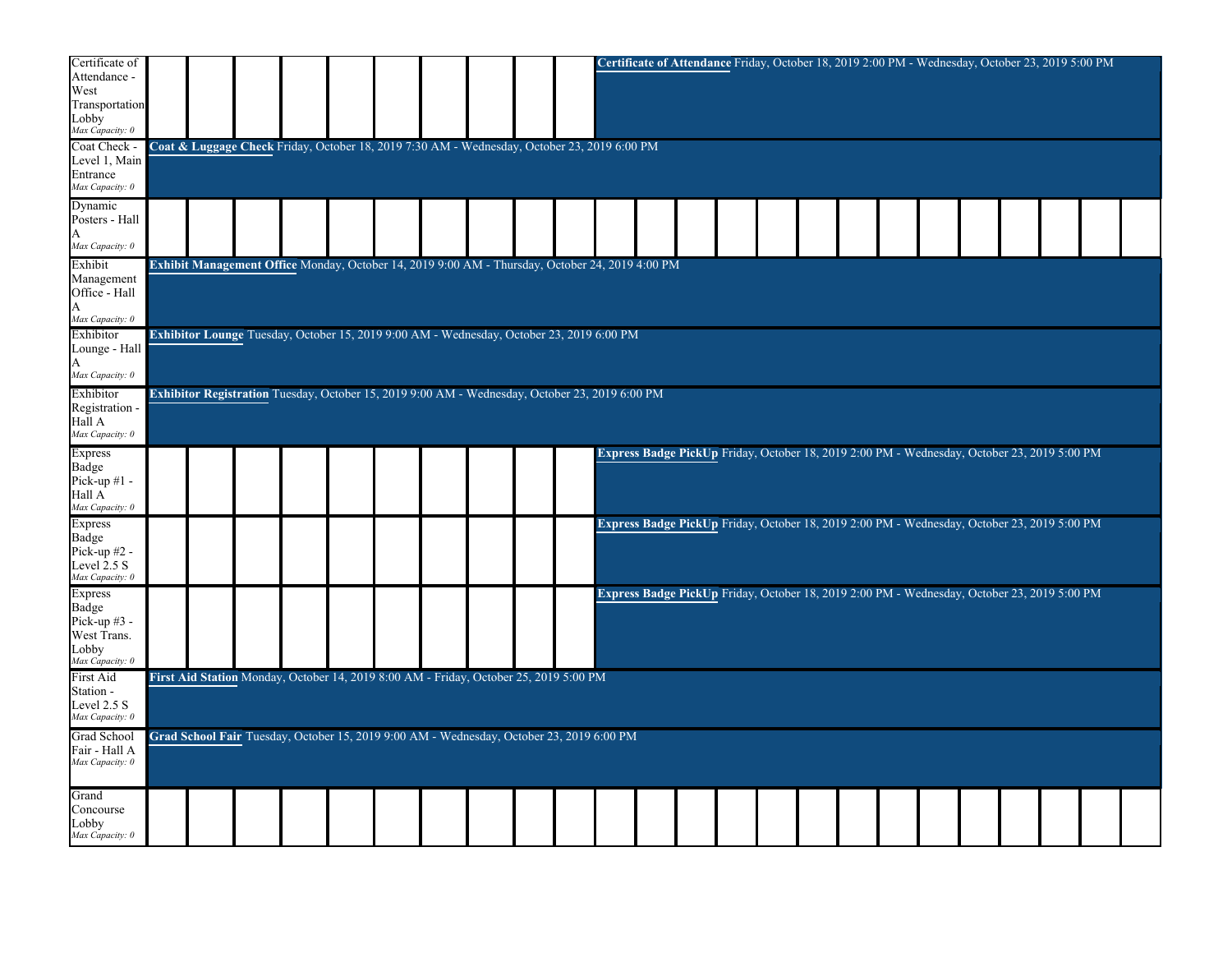| Certificate of<br>Attendance -<br>West<br>Transportation<br>Lobby<br>Max Capacity: 0 |  |  |  |                                                                                                 |  |  |  |  |  | Certificate of Attendance Friday, October 18, 2019 2:00 PM - Wednesday, October 23, 2019 5:00 PM   |  |  |
|--------------------------------------------------------------------------------------|--|--|--|-------------------------------------------------------------------------------------------------|--|--|--|--|--|----------------------------------------------------------------------------------------------------|--|--|
| Coat Check -<br>Level 1, Main<br>Entrance<br>Max Capacity: 0                         |  |  |  | Coat & Luggage Check Friday, October 18, 2019 7:30 AM - Wednesday, October 23, 2019 6:00 PM     |  |  |  |  |  |                                                                                                    |  |  |
| Dynamic<br>Posters - Hall<br>A<br>Max Capacity: 0                                    |  |  |  |                                                                                                 |  |  |  |  |  |                                                                                                    |  |  |
| Exhibit<br>Management<br>Office - Hall<br>A<br>Max Capacity: 0                       |  |  |  | Exhibit Management Office Monday, October 14, 2019 9:00 AM - Thursday, October 24, 2019 4:00 PM |  |  |  |  |  |                                                                                                    |  |  |
| Exhibitor<br>Lounge - Hall<br>А<br>Max Capacity: 0                                   |  |  |  | Exhibitor Lounge Tuesday, October 15, 2019 9:00 AM - Wednesday, October 23, 2019 6:00 PM        |  |  |  |  |  |                                                                                                    |  |  |
| Exhibitor<br>Registration<br>Hall A<br>Max Capacity: 0                               |  |  |  | Exhibitor Registration Tuesday, October 15, 2019 9:00 AM - Wednesday, October 23, 2019 6:00 PM  |  |  |  |  |  |                                                                                                    |  |  |
| <b>Express</b><br>Badge<br>Pick-up $#1$ -<br>Hall A<br>Max Capacity: 0               |  |  |  |                                                                                                 |  |  |  |  |  | Express Badge PickUp Friday, October 18, 2019 2:00 PM - Wednesday, October 23, 2019 5:00 PM        |  |  |
| Express<br>Badge<br>Pick-up $#2$ -<br>Level $2.5 S$<br>Max Capacity: 0               |  |  |  |                                                                                                 |  |  |  |  |  | Express Badge PickUp Friday, October 18, 2019 2:00 PM - Wednesday, October 23, 2019 5:00 PM        |  |  |
| <b>Express</b><br>Badge<br>Pick-up $#3$ -<br>West Trans.<br>Lobby<br>Max Capacity: 0 |  |  |  |                                                                                                 |  |  |  |  |  | <b>Express Badge PickUp</b> Friday, October 18, 2019 2:00 PM - Wednesday, October 23, 2019 5:00 PM |  |  |
| <b>First Aid</b><br>Station -<br>Level 2.5 S<br>Max Capacity: 0                      |  |  |  | First Aid Station Monday, October 14, 2019 8:00 AM - Friday, October 25, 2019 5:00 PM           |  |  |  |  |  |                                                                                                    |  |  |
| Grad School<br>Fair - Hall A<br>Max Capacity: 0                                      |  |  |  | Grad School Fair Tuesday, October 15, 2019 9:00 AM - Wednesday, October 23, 2019 6:00 PM        |  |  |  |  |  |                                                                                                    |  |  |
| Grand<br>Concourse<br>Lobby<br>Max Capacity: 0                                       |  |  |  |                                                                                                 |  |  |  |  |  |                                                                                                    |  |  |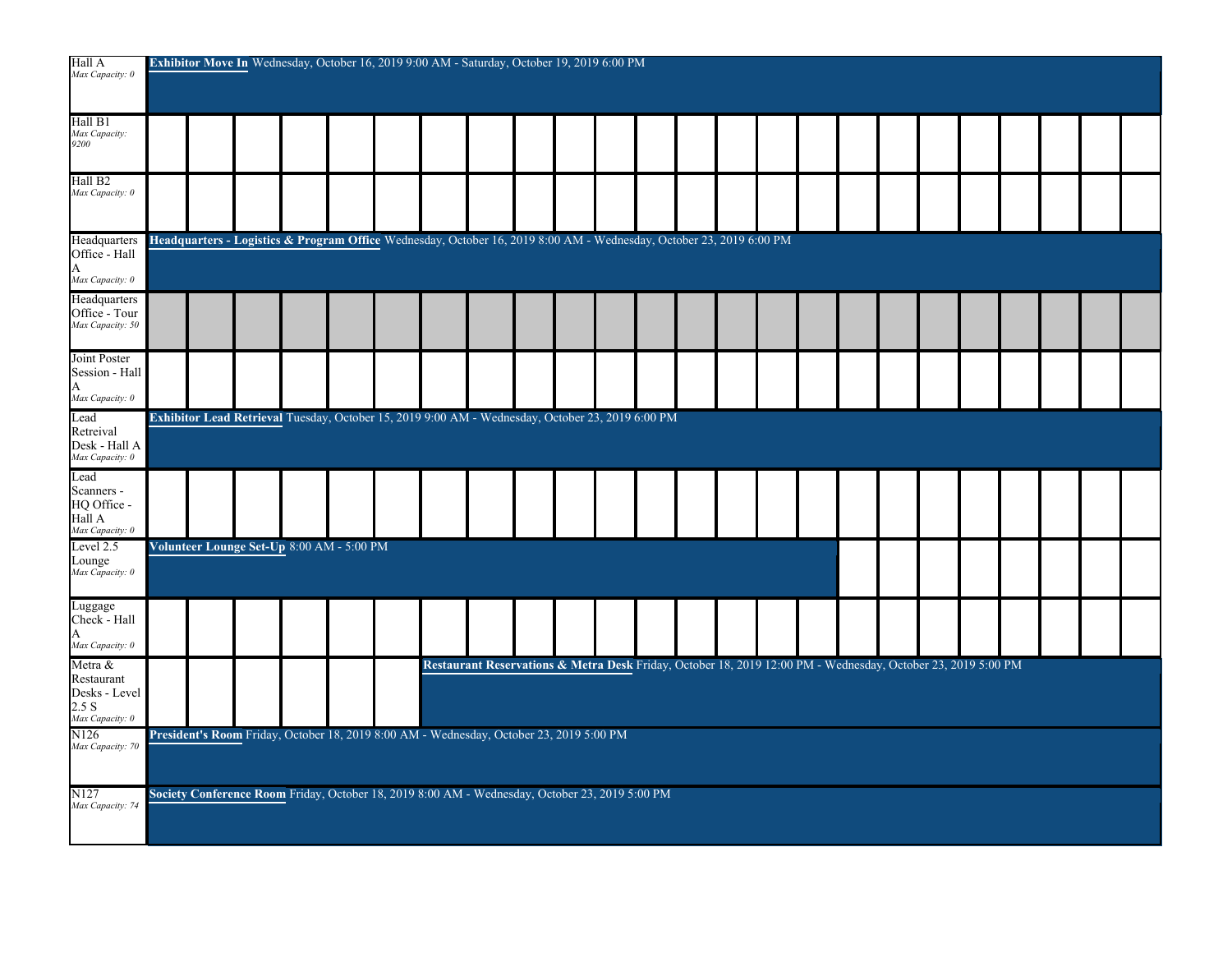| Hall A<br>Max Capacity: 0                                          |                                                                                                                     |  | Exhibitor Move In Wednesday, October 16, 2019 9:00 AM - Saturday, October 19, 2019 6:00 PM       |  |  |  |  |                                                                                                              |  |  |  |  |  |  |  |  |  |  |  |  |  |
|--------------------------------------------------------------------|---------------------------------------------------------------------------------------------------------------------|--|--------------------------------------------------------------------------------------------------|--|--|--|--|--------------------------------------------------------------------------------------------------------------|--|--|--|--|--|--|--|--|--|--|--|--|--|
| Hall B1<br>Max Capacity:<br>9200                                   |                                                                                                                     |  |                                                                                                  |  |  |  |  |                                                                                                              |  |  |  |  |  |  |  |  |  |  |  |  |  |
| Hall B <sub>2</sub><br>Max Capacity: 0                             |                                                                                                                     |  |                                                                                                  |  |  |  |  |                                                                                                              |  |  |  |  |  |  |  |  |  |  |  |  |  |
| Headquarters<br>Office - Hall<br>A<br>Max Capacity: 0              | Headquarters - Logistics & Program Office Wednesday, October 16, 2019 8:00 AM - Wednesday, October 23, 2019 6:00 PM |  |                                                                                                  |  |  |  |  |                                                                                                              |  |  |  |  |  |  |  |  |  |  |  |  |  |
| Headquarters<br>Office - Tour<br>Max Capacity: 50                  |                                                                                                                     |  |                                                                                                  |  |  |  |  |                                                                                                              |  |  |  |  |  |  |  |  |  |  |  |  |  |
| Joint Poster<br>Session - Hall<br>A<br>Max Capacity: 0             |                                                                                                                     |  |                                                                                                  |  |  |  |  |                                                                                                              |  |  |  |  |  |  |  |  |  |  |  |  |  |
| Lead<br>Retreival<br>Desk - Hall A<br>Max Capacity: 0              |                                                                                                                     |  | Exhibitor Lead Retrieval Tuesday, October 15, 2019 9:00 AM - Wednesday, October 23, 2019 6:00 PM |  |  |  |  |                                                                                                              |  |  |  |  |  |  |  |  |  |  |  |  |  |
| Lead<br>Scanners -<br>HQ Office -<br>Hall A<br>Max Capacity: 0     |                                                                                                                     |  |                                                                                                  |  |  |  |  |                                                                                                              |  |  |  |  |  |  |  |  |  |  |  |  |  |
| Level 2.5<br>Lounge<br>Max Capacity: 0                             |                                                                                                                     |  | Volunteer Lounge Set-Up 8:00 AM - 5:00 PM                                                        |  |  |  |  |                                                                                                              |  |  |  |  |  |  |  |  |  |  |  |  |  |
| Luggage<br>Check - Hall<br>A<br>Max Capacity: 0                    |                                                                                                                     |  |                                                                                                  |  |  |  |  |                                                                                                              |  |  |  |  |  |  |  |  |  |  |  |  |  |
| Metra &<br>Restaurant<br>Desks - Level<br>2.5 S<br>Max Capacity: 0 |                                                                                                                     |  |                                                                                                  |  |  |  |  | Restaurant Reservations & Metra Desk Friday, October 18, 2019 12:00 PM - Wednesday, October 23, 2019 5:00 PM |  |  |  |  |  |  |  |  |  |  |  |  |  |
| N126<br>Max Capacity: 70                                           |                                                                                                                     |  | President's Room Friday, October 18, 2019 8:00 AM - Wednesday, October 23, 2019 5:00 PM          |  |  |  |  |                                                                                                              |  |  |  |  |  |  |  |  |  |  |  |  |  |
| N127<br>Max Capacity: 74                                           |                                                                                                                     |  | Society Conference Room Friday, October 18, 2019 8:00 AM - Wednesday, October 23, 2019 5:00 PM   |  |  |  |  |                                                                                                              |  |  |  |  |  |  |  |  |  |  |  |  |  |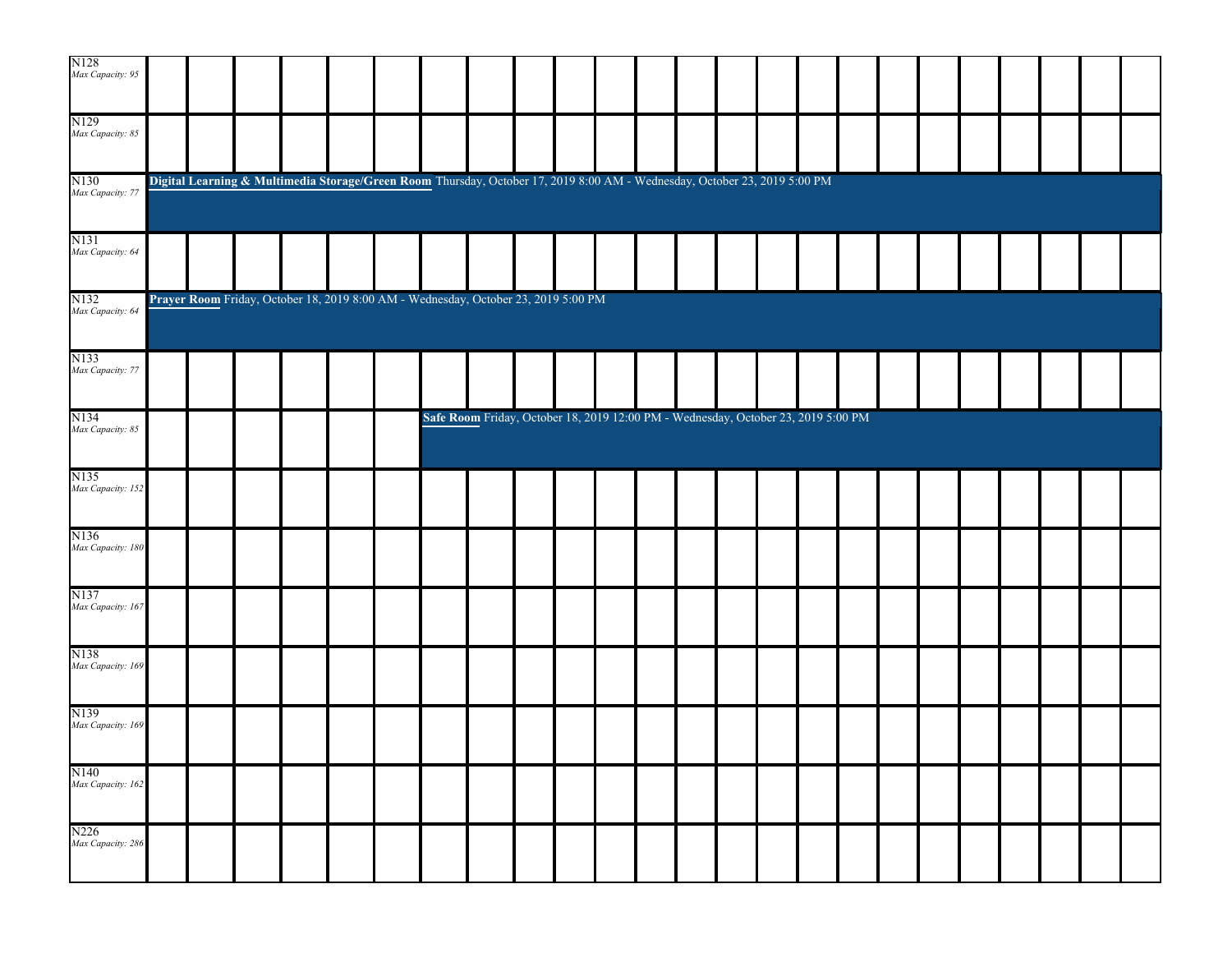| N128<br>Max Capacity: 95  |  |                                                                                                                           |  |  |                                                                                   |  |  |  |  |  |  |  |  |
|---------------------------|--|---------------------------------------------------------------------------------------------------------------------------|--|--|-----------------------------------------------------------------------------------|--|--|--|--|--|--|--|--|
| N129<br>Max Capacity: 85  |  |                                                                                                                           |  |  |                                                                                   |  |  |  |  |  |  |  |  |
| N130<br>Max Capacity: 77  |  | Digital Learning & Multimedia Storage/Green Room Thursday, October 17, 2019 8:00 AM - Wednesday, October 23, 2019 5:00 PM |  |  |                                                                                   |  |  |  |  |  |  |  |  |
| N131<br>Max Capacity: 64  |  |                                                                                                                           |  |  |                                                                                   |  |  |  |  |  |  |  |  |
| N132<br>Max Capacity: 64  |  | Prayer Room Friday, October 18, 2019 8:00 AM - Wednesday, October 23, 2019 5:00 PM                                        |  |  |                                                                                   |  |  |  |  |  |  |  |  |
| N133<br>Max Capacity: 77  |  |                                                                                                                           |  |  |                                                                                   |  |  |  |  |  |  |  |  |
| N134<br>Max Capacity: 85  |  |                                                                                                                           |  |  | Safe Room Friday, October 18, 2019 12:00 PM - Wednesday, October 23, 2019 5:00 PM |  |  |  |  |  |  |  |  |
| N135<br>Max Capacity: 152 |  |                                                                                                                           |  |  |                                                                                   |  |  |  |  |  |  |  |  |
| N136<br>Max Capacity: 180 |  |                                                                                                                           |  |  |                                                                                   |  |  |  |  |  |  |  |  |
| N137<br>Max Capacity: 167 |  |                                                                                                                           |  |  |                                                                                   |  |  |  |  |  |  |  |  |
| N138<br>Max Capacity: 169 |  |                                                                                                                           |  |  |                                                                                   |  |  |  |  |  |  |  |  |
| N139<br>Max Capacity: 169 |  |                                                                                                                           |  |  |                                                                                   |  |  |  |  |  |  |  |  |
| N140<br>Max Capacity: 162 |  |                                                                                                                           |  |  |                                                                                   |  |  |  |  |  |  |  |  |
| N226<br>Max Capacity: 286 |  |                                                                                                                           |  |  |                                                                                   |  |  |  |  |  |  |  |  |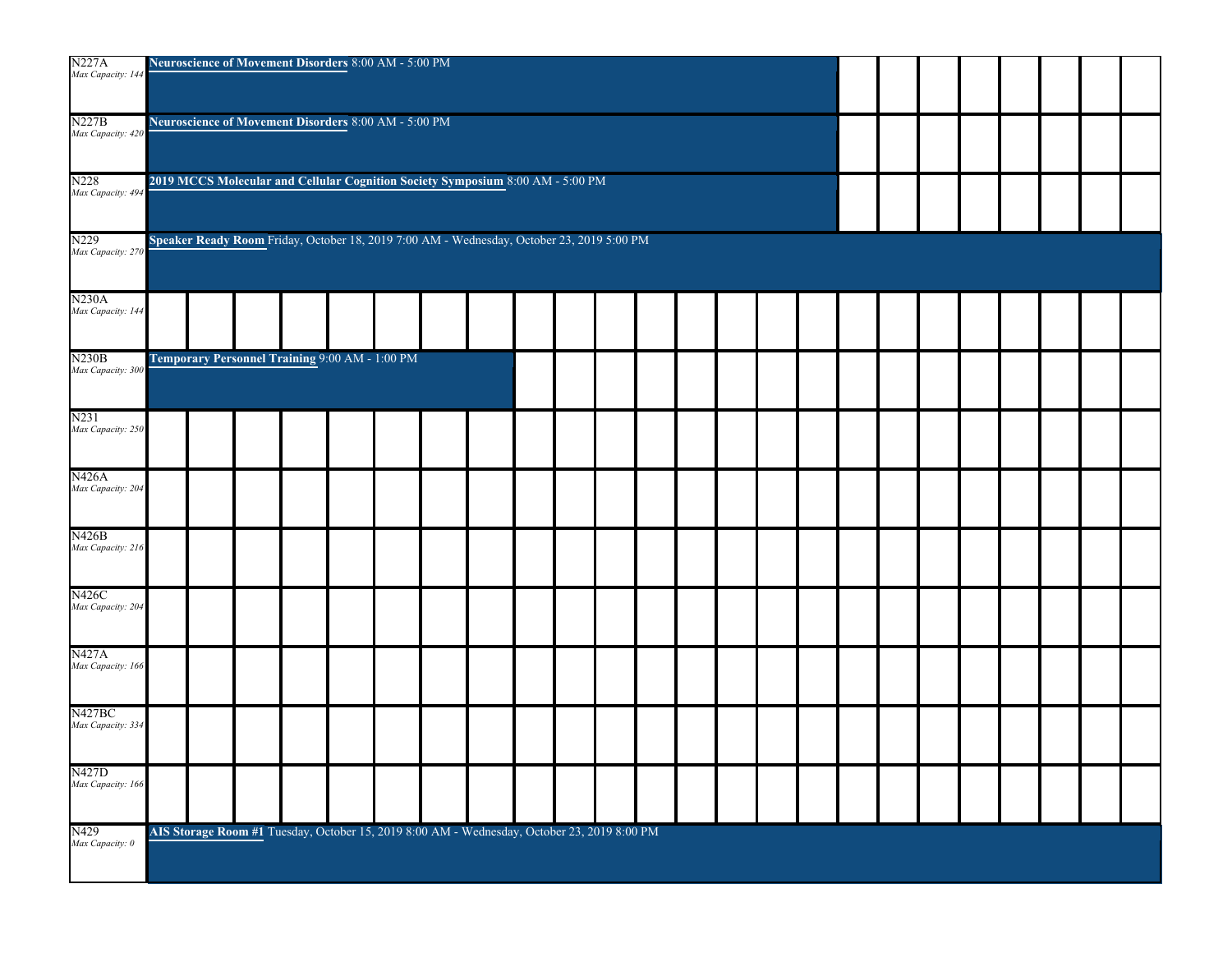| <b>N227A</b><br>Max Capacity: 144 |                                                                                           | Neuroscience of Movement Disorders 8:00 AM - 5:00 PM |  |  |  |  |                                                                                             |  |  |  |  |  |  |  |  |  |  |  |  |
|-----------------------------------|-------------------------------------------------------------------------------------------|------------------------------------------------------|--|--|--|--|---------------------------------------------------------------------------------------------|--|--|--|--|--|--|--|--|--|--|--|--|
| <b>N227B</b><br>Max Capacity: 420 |                                                                                           | Neuroscience of Movement Disorders 8:00 AM - 5:00 PM |  |  |  |  |                                                                                             |  |  |  |  |  |  |  |  |  |  |  |  |
| N228<br>Max Capacity: 494         |                                                                                           |                                                      |  |  |  |  | 2019 MCCS Molecular and Cellular Cognition Society Symposium 8:00 AM - 5:00 PM              |  |  |  |  |  |  |  |  |  |  |  |  |
| N229<br>Max Capacity: 270         | Speaker Ready Room Friday, October 18, 2019 7:00 AM - Wednesday, October 23, 2019 5:00 PM |                                                      |  |  |  |  |                                                                                             |  |  |  |  |  |  |  |  |  |  |  |  |
| <b>N230A</b><br>Max Capacity: 144 |                                                                                           |                                                      |  |  |  |  |                                                                                             |  |  |  |  |  |  |  |  |  |  |  |  |
| N230B<br>Max Capacity: 300        |                                                                                           | Temporary Personnel Training 9:00 AM - 1:00 PM       |  |  |  |  |                                                                                             |  |  |  |  |  |  |  |  |  |  |  |  |
| N231<br>Max Capacity: 250         |                                                                                           |                                                      |  |  |  |  |                                                                                             |  |  |  |  |  |  |  |  |  |  |  |  |
| N426A<br>Max Capacity: 204        |                                                                                           |                                                      |  |  |  |  |                                                                                             |  |  |  |  |  |  |  |  |  |  |  |  |
| N426B<br>Max Capacity: 216        |                                                                                           |                                                      |  |  |  |  |                                                                                             |  |  |  |  |  |  |  |  |  |  |  |  |
| N426C<br>Max Capacity: 204        |                                                                                           |                                                      |  |  |  |  |                                                                                             |  |  |  |  |  |  |  |  |  |  |  |  |
| N427A<br>Max Capacity: 166        |                                                                                           |                                                      |  |  |  |  |                                                                                             |  |  |  |  |  |  |  |  |  |  |  |  |
| N427BC<br>Max Capacity: 33-       |                                                                                           |                                                      |  |  |  |  |                                                                                             |  |  |  |  |  |  |  |  |  |  |  |  |
| N427D<br>Max Capacity: 166        |                                                                                           |                                                      |  |  |  |  |                                                                                             |  |  |  |  |  |  |  |  |  |  |  |  |
| N429<br>Max Capacity: 0           |                                                                                           |                                                      |  |  |  |  | AIS Storage Room #1 Tuesday, October 15, 2019 8:00 AM - Wednesday, October 23, 2019 8:00 PM |  |  |  |  |  |  |  |  |  |  |  |  |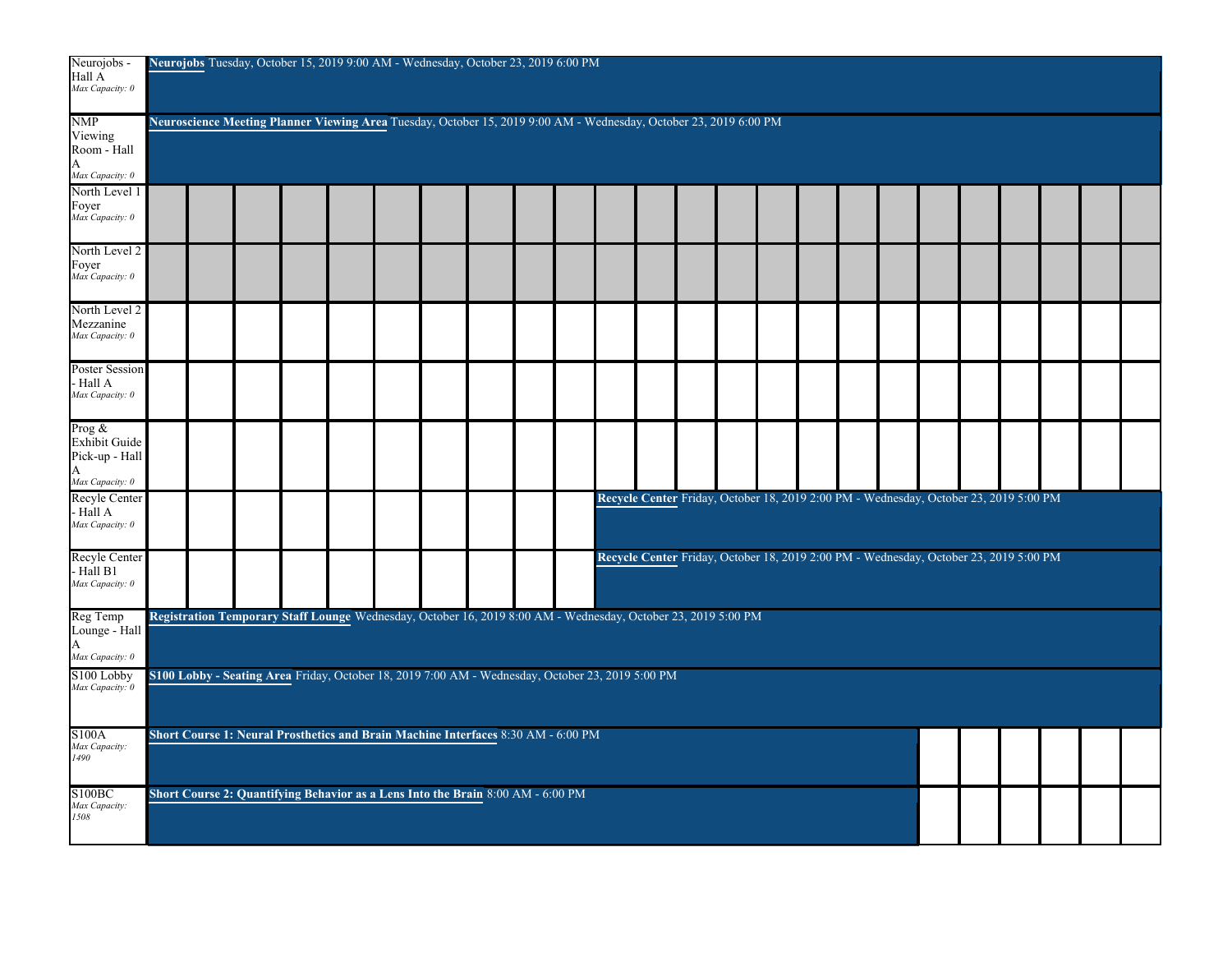| Neurojobs -<br>Hall A<br>Max Capacity: 0                        |  |  | Neurojobs Tuesday, October 15, 2019 9:00 AM - Wednesday, October 23, 2019 6:00 PM                                 |  |  |  |  |  |  |  |  |                                                                                       |  |  |  |  |  |  |  |  |
|-----------------------------------------------------------------|--|--|-------------------------------------------------------------------------------------------------------------------|--|--|--|--|--|--|--|--|---------------------------------------------------------------------------------------|--|--|--|--|--|--|--|--|
| <b>NMP</b><br>Viewing<br>Room - Hall<br>A<br>Max Capacity: 0    |  |  | Neuroscience Meeting Planner Viewing Area Tuesday, October 15, 2019 9:00 AM - Wednesday, October 23, 2019 6:00 PM |  |  |  |  |  |  |  |  |                                                                                       |  |  |  |  |  |  |  |  |
| North Level 1<br>Foyer<br>Max Capacity: 0                       |  |  |                                                                                                                   |  |  |  |  |  |  |  |  |                                                                                       |  |  |  |  |  |  |  |  |
| North Level 2<br>Foyer<br>Max Capacity: 0                       |  |  |                                                                                                                   |  |  |  |  |  |  |  |  |                                                                                       |  |  |  |  |  |  |  |  |
| North Level 2<br>Mezzanine<br>Max Capacity: 0                   |  |  |                                                                                                                   |  |  |  |  |  |  |  |  |                                                                                       |  |  |  |  |  |  |  |  |
| Poster Session<br>Hall A<br>Max Capacity: 0                     |  |  |                                                                                                                   |  |  |  |  |  |  |  |  |                                                                                       |  |  |  |  |  |  |  |  |
| Prog $\&$<br><b>Exhibit Guide</b><br>Pick-up - Hall<br>A        |  |  |                                                                                                                   |  |  |  |  |  |  |  |  |                                                                                       |  |  |  |  |  |  |  |  |
| Max Capacity: 0<br>Recyle Center<br>- Hall A<br>Max Capacity: 0 |  |  |                                                                                                                   |  |  |  |  |  |  |  |  | Recycle Center Friday, October 18, 2019 2:00 PM - Wednesday, October 23, 2019 5:00 PM |  |  |  |  |  |  |  |  |
| Recyle Center<br>Hall B1<br>Max Capacity: 0                     |  |  |                                                                                                                   |  |  |  |  |  |  |  |  | Recycle Center Friday, October 18, 2019 2:00 PM - Wednesday, October 23, 2019 5:00 PM |  |  |  |  |  |  |  |  |
| Reg Temp<br>Lounge - Hall<br>A<br>Max Capacity: 0               |  |  | Registration Temporary Staff Lounge Wednesday, October 16, 2019 8:00 AM - Wednesday, October 23, 2019 5:00 PM     |  |  |  |  |  |  |  |  |                                                                                       |  |  |  |  |  |  |  |  |
| S100 Lobby<br>Max Capacity: 0                                   |  |  | S100 Lobby - Seating Area Friday, October 18, 2019 7:00 AM - Wednesday, October 23, 2019 5:00 PM                  |  |  |  |  |  |  |  |  |                                                                                       |  |  |  |  |  |  |  |  |
| <b>S100A</b><br>Max Capacity:<br>1490                           |  |  | Short Course 1: Neural Prosthetics and Brain Machine Interfaces 8:30 AM - 6:00 PM                                 |  |  |  |  |  |  |  |  |                                                                                       |  |  |  |  |  |  |  |  |
| S100BC<br>Max Capacity:<br>1508                                 |  |  | Short Course 2: Quantifying Behavior as a Lens Into the Brain 8:00 AM - 6:00 PM                                   |  |  |  |  |  |  |  |  |                                                                                       |  |  |  |  |  |  |  |  |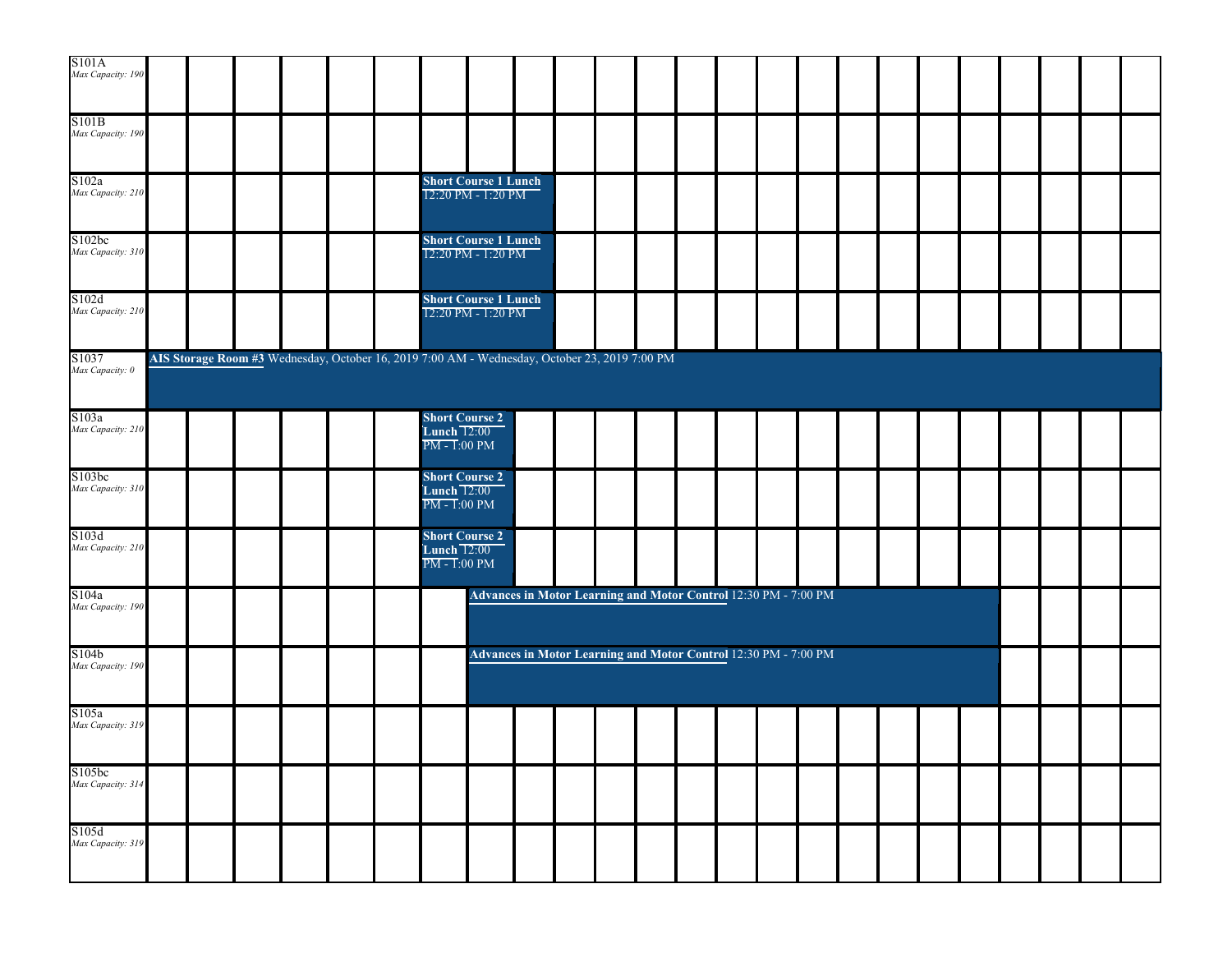| S <sub>101</sub> A<br>Max Capacity: 190 |  |  |  |                                                                                               |                                                                 |  |  |  |  |  |  |  |  |
|-----------------------------------------|--|--|--|-----------------------------------------------------------------------------------------------|-----------------------------------------------------------------|--|--|--|--|--|--|--|--|
| S101B<br>Max Capacity: 190              |  |  |  |                                                                                               |                                                                 |  |  |  |  |  |  |  |  |
| S102a<br>Max Capacity: 210              |  |  |  | <b>Short Course 1 Lunch</b>                                                                   | 12:20 PM - 1:20 PM                                              |  |  |  |  |  |  |  |  |
| S102bc<br>Max Capacity: 310             |  |  |  | <b>Short Course 1 Lunch</b>                                                                   | 12:20 PM - 1:20 PM                                              |  |  |  |  |  |  |  |  |
| S102d<br>Max Capacity: 210              |  |  |  | <b>Short Course 1 Lunch</b>                                                                   | 12:20 PM - 1:20 PM                                              |  |  |  |  |  |  |  |  |
| S1037<br>Max Capacity: 0                |  |  |  | AIS Storage Room #3 Wednesday, October 16, 2019 7:00 AM - Wednesday, October 23, 2019 7:00 PM |                                                                 |  |  |  |  |  |  |  |  |
| S103a<br>Max Capacity: 210              |  |  |  | Short Course 2<br>Lunch 12:00<br>$\overline{PM - 1:}00 \text{ PM}$                            |                                                                 |  |  |  |  |  |  |  |  |
| S103bc<br>Max Capacity: 310             |  |  |  | <b>Short Course 2</b><br><b>Lunch 12:00</b><br>PM - T:00 PM                                   |                                                                 |  |  |  |  |  |  |  |  |
| S103d<br>Max Capacity: 210              |  |  |  | <b>Short Course 2</b><br>Lunch 12:00<br>$PM - I:00 PM$                                        |                                                                 |  |  |  |  |  |  |  |  |
| S104a<br>Max Capacity: 190              |  |  |  |                                                                                               | Advances in Motor Learning and Motor Control 12:30 PM - 7:00 PM |  |  |  |  |  |  |  |  |
| S104b<br>Max Capacity: 190              |  |  |  |                                                                                               | Advances in Motor Learning and Motor Control 12:30 PM - 7:00 PM |  |  |  |  |  |  |  |  |
| S105a<br>Max Capacity: 319              |  |  |  |                                                                                               |                                                                 |  |  |  |  |  |  |  |  |
| S105bc<br>Max Capacity: 314             |  |  |  |                                                                                               |                                                                 |  |  |  |  |  |  |  |  |
| S105d<br>Max Capacity: 319              |  |  |  |                                                                                               |                                                                 |  |  |  |  |  |  |  |  |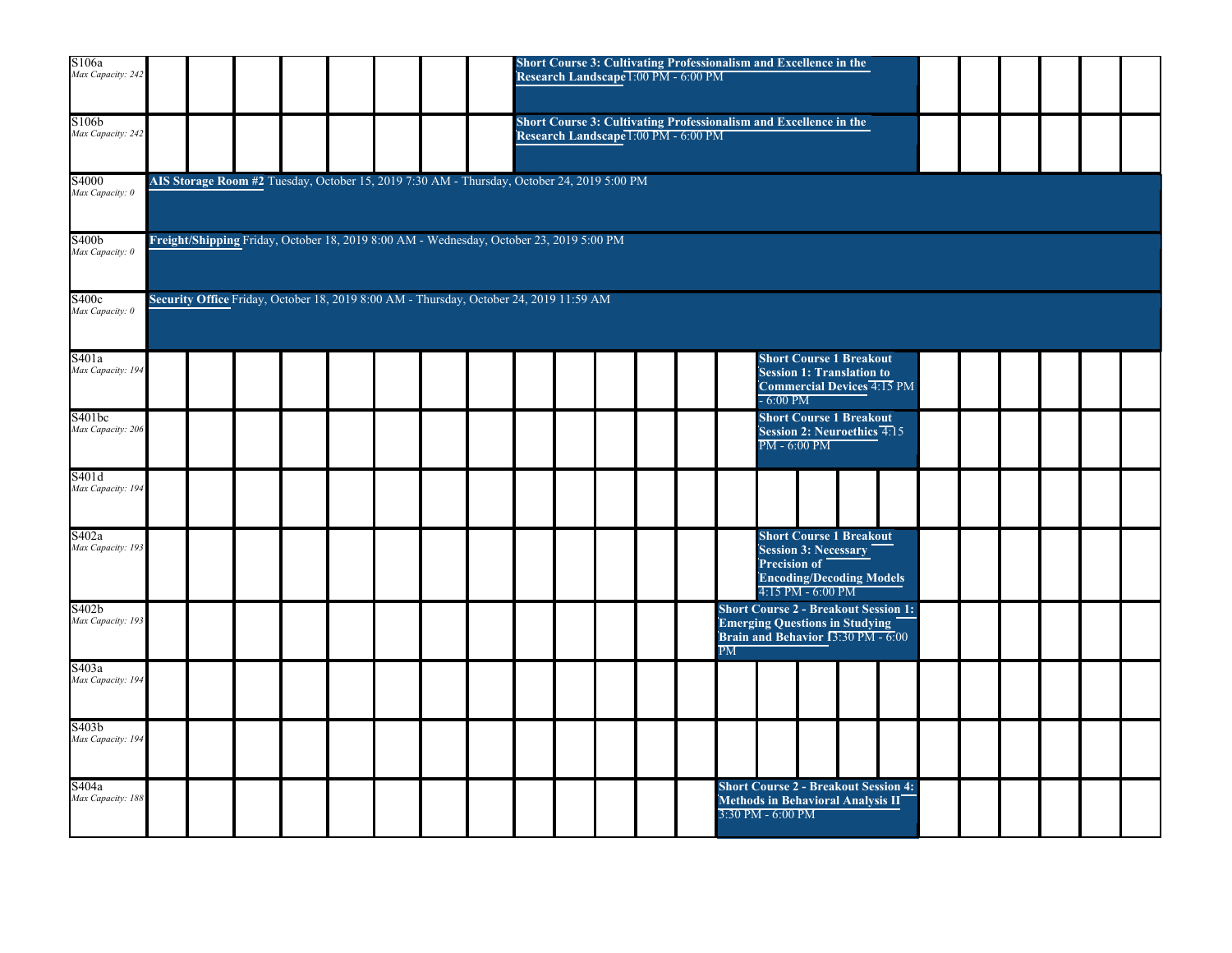| S106a<br>Max Capacity: 242              |                                                                                                                          |  |  |  |                                                                                            |  |  |  |  |  | Short Course 3: Cultivating Professionalism and Excellence in the<br>Research Landscape 1:00 PM - 6:00 PM |  |  |                                                                               |                                                                                                                                              |  |  |  |  |  |  |  |
|-----------------------------------------|--------------------------------------------------------------------------------------------------------------------------|--|--|--|--------------------------------------------------------------------------------------------|--|--|--|--|--|-----------------------------------------------------------------------------------------------------------|--|--|-------------------------------------------------------------------------------|----------------------------------------------------------------------------------------------------------------------------------------------|--|--|--|--|--|--|--|
| $\overline{$}106b$<br>Max Capacity: 242 |                                                                                                                          |  |  |  |                                                                                            |  |  |  |  |  | Short Course 3: Cultivating Professionalism and Excellence in the<br>Research Landscape 1:00 PM - 6:00 PM |  |  |                                                                               |                                                                                                                                              |  |  |  |  |  |  |  |
| S4000<br>Max Capacity: 0                |                                                                                                                          |  |  |  | AIS Storage Room #2 Tuesday, October 15, 2019 7:30 AM - Thursday, October 24, 2019 5:00 PM |  |  |  |  |  |                                                                                                           |  |  |                                                                               |                                                                                                                                              |  |  |  |  |  |  |  |
| S400b<br>Max Capacity: 0                |                                                                                                                          |  |  |  | Freight/Shipping Friday, October 18, 2019 8:00 AM - Wednesday, October 23, 2019 5:00 PM    |  |  |  |  |  |                                                                                                           |  |  |                                                                               |                                                                                                                                              |  |  |  |  |  |  |  |
| S400c<br>Max Capacity: 0                | Security Office Friday, October 18, 2019 8:00 AM - Thursday, October 24, 2019 11:59 AM<br><b>Short Course 1 Breakout</b> |  |  |  |                                                                                            |  |  |  |  |  |                                                                                                           |  |  |                                                                               |                                                                                                                                              |  |  |  |  |  |  |  |
| S401a<br>Max Capacity: 194              |                                                                                                                          |  |  |  |                                                                                            |  |  |  |  |  |                                                                                                           |  |  |                                                                               | <b>Session 1: Translation to</b><br>Commercial Devices 4:15 PM<br>$-6:00$ PM                                                                 |  |  |  |  |  |  |  |
| S401bc<br>Max Capacity: 206             |                                                                                                                          |  |  |  |                                                                                            |  |  |  |  |  |                                                                                                           |  |  | <b>Short Course 1 Breakout</b><br>Session 2: Neuroethics 4:15<br>PM - 6:00 PM |                                                                                                                                              |  |  |  |  |  |  |  |
| S401d<br>Max Capacity: 194              |                                                                                                                          |  |  |  |                                                                                            |  |  |  |  |  |                                                                                                           |  |  |                                                                               |                                                                                                                                              |  |  |  |  |  |  |  |
| S402a<br>Max Capacity: 193              |                                                                                                                          |  |  |  |                                                                                            |  |  |  |  |  |                                                                                                           |  |  |                                                                               | <b>Short Course 1 Breakout</b><br><b>Session 3: Necessary</b><br><b>Precision of</b><br><b>Encoding/Decoding Models</b><br>4:15 PM - 6:00 PM |  |  |  |  |  |  |  |
| S402b<br>Max Capacity: 193              |                                                                                                                          |  |  |  |                                                                                            |  |  |  |  |  |                                                                                                           |  |  | PM                                                                            | <b>Short Course 2 - Breakout Session 1:</b><br><b>Emerging Questions in Studying</b><br>Brain and Behavior $13:30 \overline{PM} - 6:00$      |  |  |  |  |  |  |  |
| S403a<br>Max Capacity: 194              |                                                                                                                          |  |  |  |                                                                                            |  |  |  |  |  |                                                                                                           |  |  |                                                                               |                                                                                                                                              |  |  |  |  |  |  |  |
| S403b<br>Max Capacity: 194              |                                                                                                                          |  |  |  |                                                                                            |  |  |  |  |  |                                                                                                           |  |  |                                                                               |                                                                                                                                              |  |  |  |  |  |  |  |
| S404a<br>Max Capacity: 188              |                                                                                                                          |  |  |  |                                                                                            |  |  |  |  |  |                                                                                                           |  |  |                                                                               | <b>Short Course 2 - Breakout Session 4:</b><br>Methods in Behavioral Analysis II<br>3:30 PM - 6:00 PM                                        |  |  |  |  |  |  |  |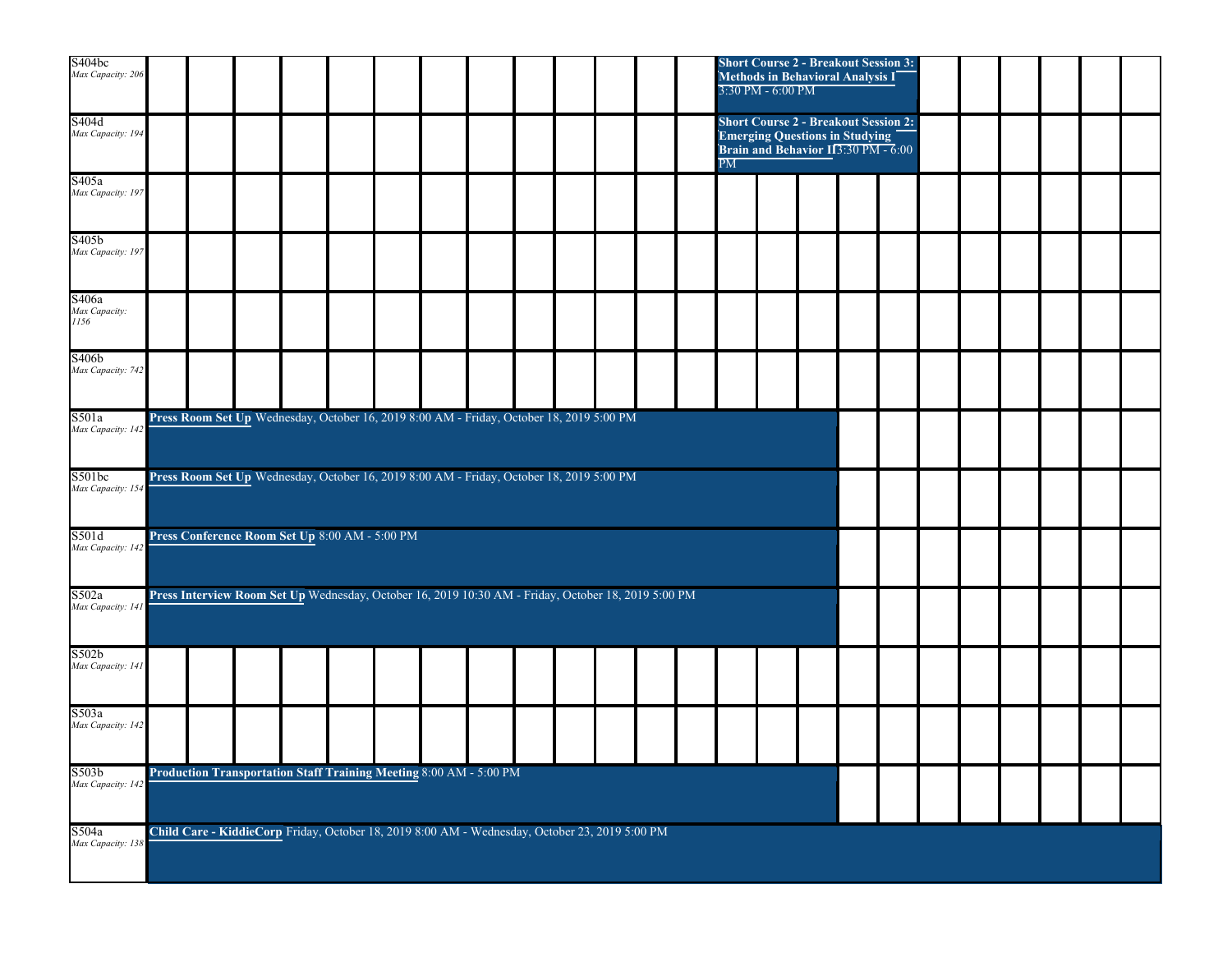| S404bc<br>Max Capacity: 206            |                                                                                          |  |                                                                                                     |  |  |  |  |  |  |  |  |  |  |                        | <b>Short Course 2 - Breakout Session 3:</b><br>Methods in Behavioral Analysis I<br>3:30 PM - 6:00 PM                        |  |  |  |  |  |
|----------------------------------------|------------------------------------------------------------------------------------------|--|-----------------------------------------------------------------------------------------------------|--|--|--|--|--|--|--|--|--|--|------------------------|-----------------------------------------------------------------------------------------------------------------------------|--|--|--|--|--|
| S404d<br>Max Capacity: 194             |                                                                                          |  |                                                                                                     |  |  |  |  |  |  |  |  |  |  | $\overline{\text{PM}}$ | <b>Short Course 2 - Breakout Session 2:</b><br><b>Emerging Questions in Studying</b><br>Brain and Behavior II3:30 PM - 6:00 |  |  |  |  |  |
| S405a<br>Max Capacity: 197             |                                                                                          |  |                                                                                                     |  |  |  |  |  |  |  |  |  |  |                        |                                                                                                                             |  |  |  |  |  |
| S405 <sub>b</sub><br>Max Capacity: 197 |                                                                                          |  |                                                                                                     |  |  |  |  |  |  |  |  |  |  |                        |                                                                                                                             |  |  |  |  |  |
| S406a<br>Max Capacity:<br>1156         |                                                                                          |  |                                                                                                     |  |  |  |  |  |  |  |  |  |  |                        |                                                                                                                             |  |  |  |  |  |
| S406b<br>Max Capacity: 742             |                                                                                          |  |                                                                                                     |  |  |  |  |  |  |  |  |  |  |                        |                                                                                                                             |  |  |  |  |  |
| S501a<br>Max Capacity: 14.             | Press Room Set Up Wednesday, October 16, 2019 8:00 AM - Friday, October 18, 2019 5:00 PM |  |                                                                                                     |  |  |  |  |  |  |  |  |  |  |                        |                                                                                                                             |  |  |  |  |  |
| S501bc<br>Max Capacity: 154            | Press Room Set Up Wednesday, October 16, 2019 8:00 AM - Friday, October 18, 2019 5:00 PM |  |                                                                                                     |  |  |  |  |  |  |  |  |  |  |                        |                                                                                                                             |  |  |  |  |  |
| S501d<br>Max Capacity: 142             |                                                                                          |  | Press Conference Room Set Up 8:00 AM - 5:00 PM                                                      |  |  |  |  |  |  |  |  |  |  |                        |                                                                                                                             |  |  |  |  |  |
| S502a<br>Max Capacity: 141             |                                                                                          |  | Press Interview Room Set Up Wednesday, October 16, 2019 10:30 AM - Friday, October 18, 2019 5:00 PM |  |  |  |  |  |  |  |  |  |  |                        |                                                                                                                             |  |  |  |  |  |
| S502b<br>Max Capacity: 141             |                                                                                          |  |                                                                                                     |  |  |  |  |  |  |  |  |  |  |                        |                                                                                                                             |  |  |  |  |  |
| S503a<br>Max Capacity: 14.             |                                                                                          |  |                                                                                                     |  |  |  |  |  |  |  |  |  |  |                        |                                                                                                                             |  |  |  |  |  |
| S503 <sub>b</sub><br>Max Capacity: 142 |                                                                                          |  | Production Transportation Staff Training Meeting 8:00 AM - 5:00 PM                                  |  |  |  |  |  |  |  |  |  |  |                        |                                                                                                                             |  |  |  |  |  |
| S504a<br>Max Capacity: 138             |                                                                                          |  | Child Care - KiddieCorp Friday, October 18, 2019 8:00 AM - Wednesday, October 23, 2019 5:00 PM      |  |  |  |  |  |  |  |  |  |  |                        |                                                                                                                             |  |  |  |  |  |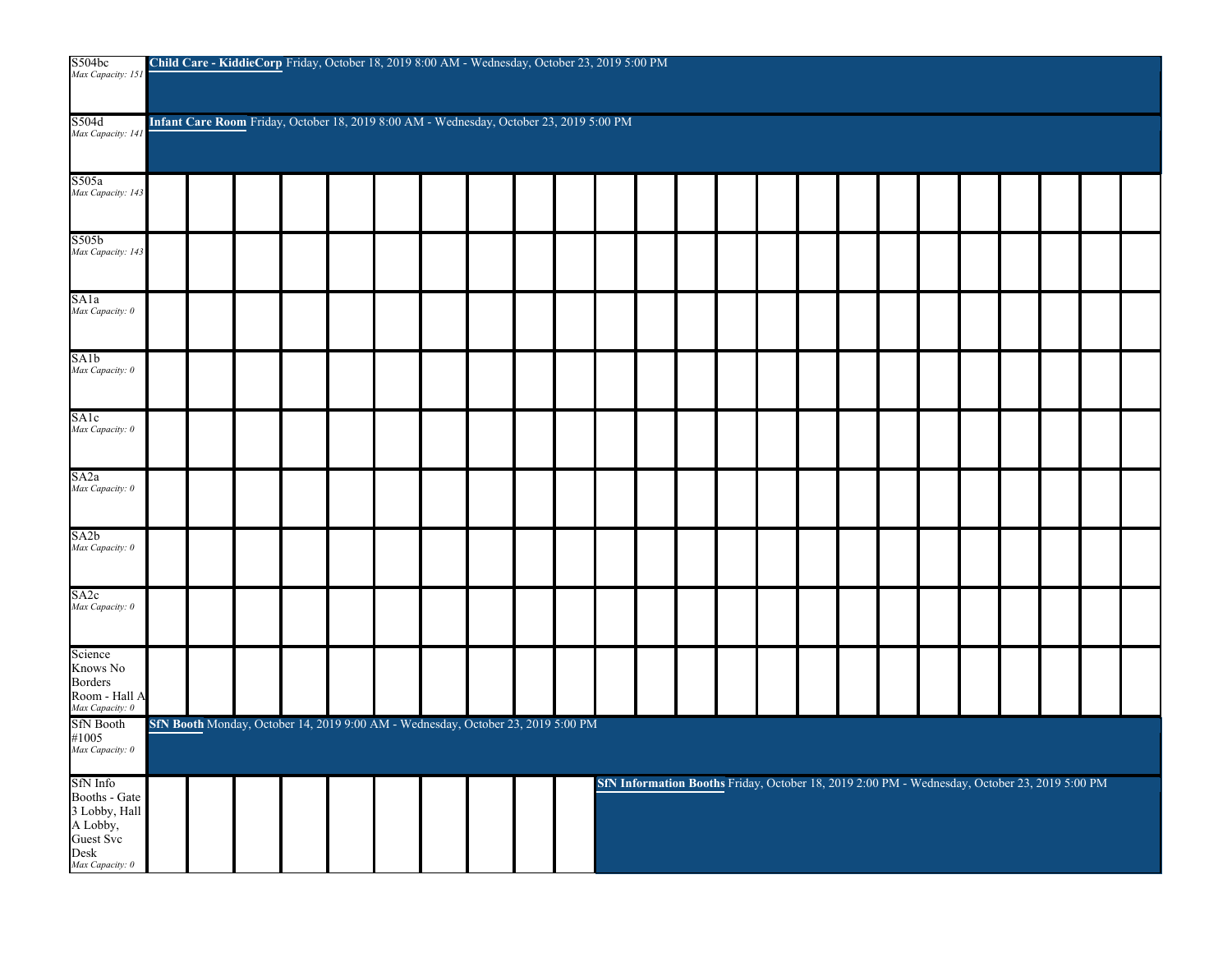| S504bc<br>Max Capacity: 151                                                                    |                                                                                         |  | Child Care - KiddieCorp Friday, October 18, 2019 8:00 AM - Wednesday, October 23, 2019 5:00 PM |  |  |  |  |  |  |  |  |  |  |  |  |  |  |                                                                                               |  |  |
|------------------------------------------------------------------------------------------------|-----------------------------------------------------------------------------------------|--|------------------------------------------------------------------------------------------------|--|--|--|--|--|--|--|--|--|--|--|--|--|--|-----------------------------------------------------------------------------------------------|--|--|
| S504d<br>Max Capacity: 14.                                                                     | Infant Care Room Friday, October 18, 2019 8:00 AM - Wednesday, October 23, 2019 5:00 PM |  |                                                                                                |  |  |  |  |  |  |  |  |  |  |  |  |  |  |                                                                                               |  |  |
| S505a<br>Max Capacity: 143                                                                     |                                                                                         |  |                                                                                                |  |  |  |  |  |  |  |  |  |  |  |  |  |  |                                                                                               |  |  |
| S505b<br>Max Capacity: 143                                                                     |                                                                                         |  |                                                                                                |  |  |  |  |  |  |  |  |  |  |  |  |  |  |                                                                                               |  |  |
| SA <sub>1</sub> a<br>Max Capacity: 0                                                           |                                                                                         |  |                                                                                                |  |  |  |  |  |  |  |  |  |  |  |  |  |  |                                                                                               |  |  |
| SA <sub>1</sub> b<br>Max Capacity: 0                                                           |                                                                                         |  |                                                                                                |  |  |  |  |  |  |  |  |  |  |  |  |  |  |                                                                                               |  |  |
| SA1c<br>Max Capacity: 0                                                                        |                                                                                         |  |                                                                                                |  |  |  |  |  |  |  |  |  |  |  |  |  |  |                                                                                               |  |  |
| SA2a<br>Max Capacity: 0                                                                        |                                                                                         |  |                                                                                                |  |  |  |  |  |  |  |  |  |  |  |  |  |  |                                                                                               |  |  |
| SA <sub>2</sub> b<br>Max Capacity: 0                                                           |                                                                                         |  |                                                                                                |  |  |  |  |  |  |  |  |  |  |  |  |  |  |                                                                                               |  |  |
| SA <sub>2c</sub><br>Max Capacity: 0                                                            |                                                                                         |  |                                                                                                |  |  |  |  |  |  |  |  |  |  |  |  |  |  |                                                                                               |  |  |
| Science<br>Knows No<br>Borders<br>Room - Hall A<br>Max Capacity: 0                             |                                                                                         |  |                                                                                                |  |  |  |  |  |  |  |  |  |  |  |  |  |  |                                                                                               |  |  |
| <b>SfN</b> Booth<br>#1005<br>Max Capacity: 0                                                   |                                                                                         |  | SfN Booth Monday, October 14, 2019 9:00 AM - Wednesday, October 23, 2019 5:00 PM               |  |  |  |  |  |  |  |  |  |  |  |  |  |  |                                                                                               |  |  |
| SfN Info<br>Booths - Gate<br>3 Lobby, Hall<br>A Lobby,<br>Guest Svc<br>Desk<br>Max Capacity: 0 |                                                                                         |  |                                                                                                |  |  |  |  |  |  |  |  |  |  |  |  |  |  | SfN Information Booths Friday, October 18, 2019 2:00 PM - Wednesday, October 23, 2019 5:00 PM |  |  |